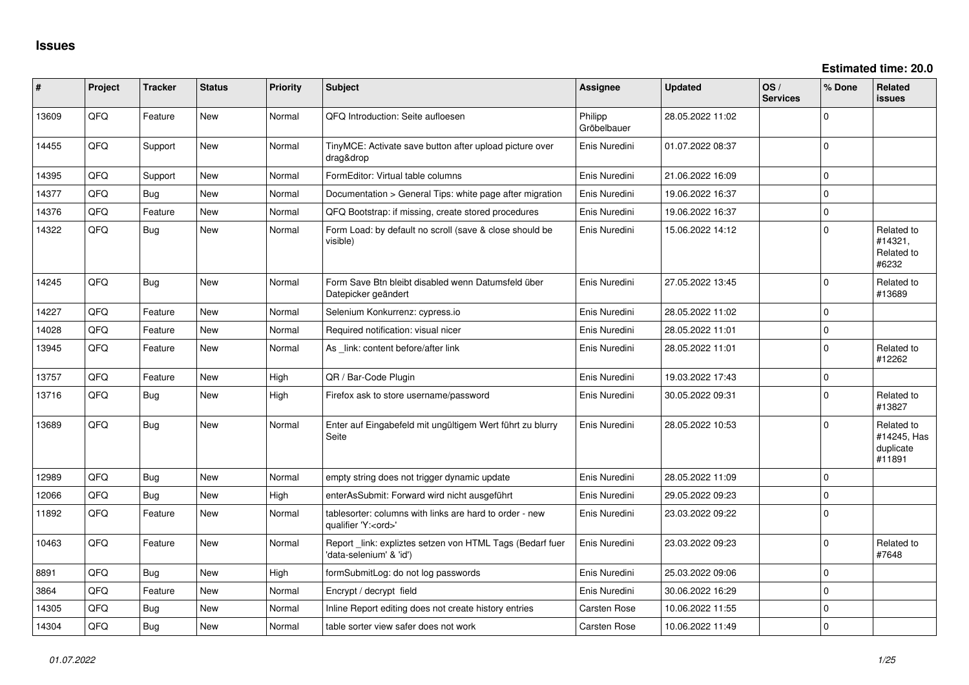| #     | Project | <b>Tracker</b> | <b>Status</b> | <b>Priority</b> | <b>Subject</b>                                                                        | <b>Assignee</b>        | <b>Updated</b>   | OS/<br><b>Services</b> | % Done      | Related<br>issues                                |
|-------|---------|----------------|---------------|-----------------|---------------------------------------------------------------------------------------|------------------------|------------------|------------------------|-------------|--------------------------------------------------|
| 13609 | QFQ     | Feature        | New           | Normal          | QFQ Introduction: Seite aufloesen                                                     | Philipp<br>Gröbelbauer | 28.05.2022 11:02 |                        | $\Omega$    |                                                  |
| 14455 | QFQ     | Support        | New           | Normal          | TinyMCE: Activate save button after upload picture over<br>drag&drop                  | Enis Nuredini          | 01.07.2022 08:37 |                        | $\Omega$    |                                                  |
| 14395 | QFQ     | Support        | New           | Normal          | FormEditor: Virtual table columns                                                     | Enis Nuredini          | 21.06.2022 16:09 |                        | $\Omega$    |                                                  |
| 14377 | QFQ     | <b>Bug</b>     | <b>New</b>    | Normal          | Documentation > General Tips: white page after migration                              | Enis Nuredini          | 19.06.2022 16:37 |                        | $\mathbf 0$ |                                                  |
| 14376 | QFQ     | Feature        | New           | Normal          | QFQ Bootstrap: if missing, create stored procedures                                   | Enis Nuredini          | 19.06.2022 16:37 |                        | $\mathbf 0$ |                                                  |
| 14322 | QFQ     | Bug            | New           | Normal          | Form Load: by default no scroll (save & close should be<br>visible)                   | Enis Nuredini          | 15.06.2022 14:12 |                        | $\Omega$    | Related to<br>#14321,<br>Related to<br>#6232     |
| 14245 | QFQ     | Bug            | <b>New</b>    | Normal          | Form Save Btn bleibt disabled wenn Datumsfeld über<br>Datepicker geändert             | Enis Nuredini          | 27.05.2022 13:45 |                        | $\Omega$    | Related to<br>#13689                             |
| 14227 | QFQ     | Feature        | New           | Normal          | Selenium Konkurrenz: cypress.io                                                       | Enis Nuredini          | 28.05.2022 11:02 |                        | $\mathbf 0$ |                                                  |
| 14028 | QFQ     | Feature        | New           | Normal          | Required notification: visual nicer                                                   | Enis Nuredini          | 28.05.2022 11:01 |                        | $\pmb{0}$   |                                                  |
| 13945 | QFQ     | Feature        | New           | Normal          | As link: content before/after link                                                    | Enis Nuredini          | 28.05.2022 11:01 |                        | $\mathbf 0$ | Related to<br>#12262                             |
| 13757 | QFQ     | Feature        | New           | High            | QR / Bar-Code Plugin                                                                  | Enis Nuredini          | 19.03.2022 17:43 |                        | $\mathbf 0$ |                                                  |
| 13716 | QFQ     | <b>Bug</b>     | New           | High            | Firefox ask to store username/password                                                | Enis Nuredini          | 30.05.2022 09:31 |                        | $\Omega$    | Related to<br>#13827                             |
| 13689 | QFQ     | <b>Bug</b>     | New           | Normal          | Enter auf Eingabefeld mit ungültigem Wert führt zu blurry<br>Seite                    | Enis Nuredini          | 28.05.2022 10:53 |                        | $\Omega$    | Related to<br>#14245, Has<br>duplicate<br>#11891 |
| 12989 | QFQ     | <b>Bug</b>     | New           | Normal          | empty string does not trigger dynamic update                                          | Enis Nuredini          | 28.05.2022 11:09 |                        | $\mathbf 0$ |                                                  |
| 12066 | QFQ     | <b>Bug</b>     | New           | High            | enterAsSubmit: Forward wird nicht ausgeführt                                          | Enis Nuredini          | 29.05.2022 09:23 |                        | $\mathbf 0$ |                                                  |
| 11892 | QFQ     | Feature        | New           | Normal          | tablesorter: columns with links are hard to order - new<br>qualifier 'Y: <ord>'</ord> | Enis Nuredini          | 23.03.2022 09:22 |                        | $\Omega$    |                                                  |
| 10463 | QFQ     | Feature        | New           | Normal          | Report _link: expliztes setzen von HTML Tags (Bedarf fuer<br>'data-selenium' & 'id')  | Enis Nuredini          | 23.03.2022 09:23 |                        | $\mathbf 0$ | Related to<br>#7648                              |
| 8891  | QFQ     | <b>Bug</b>     | <b>New</b>    | High            | formSubmitLog: do not log passwords                                                   | Enis Nuredini          | 25.03.2022 09:06 |                        | $\mathbf 0$ |                                                  |
| 3864  | QFQ     | Feature        | New           | Normal          | Encrypt / decrypt field                                                               | Enis Nuredini          | 30.06.2022 16:29 |                        | $\mathbf 0$ |                                                  |
| 14305 | QFQ     | Bug            | New           | Normal          | Inline Report editing does not create history entries                                 | Carsten Rose           | 10.06.2022 11:55 |                        | $\pmb{0}$   |                                                  |
| 14304 | QFQ     | <b>Bug</b>     | New           | Normal          | table sorter view safer does not work                                                 | Carsten Rose           | 10.06.2022 11:49 |                        | $\mathbf 0$ |                                                  |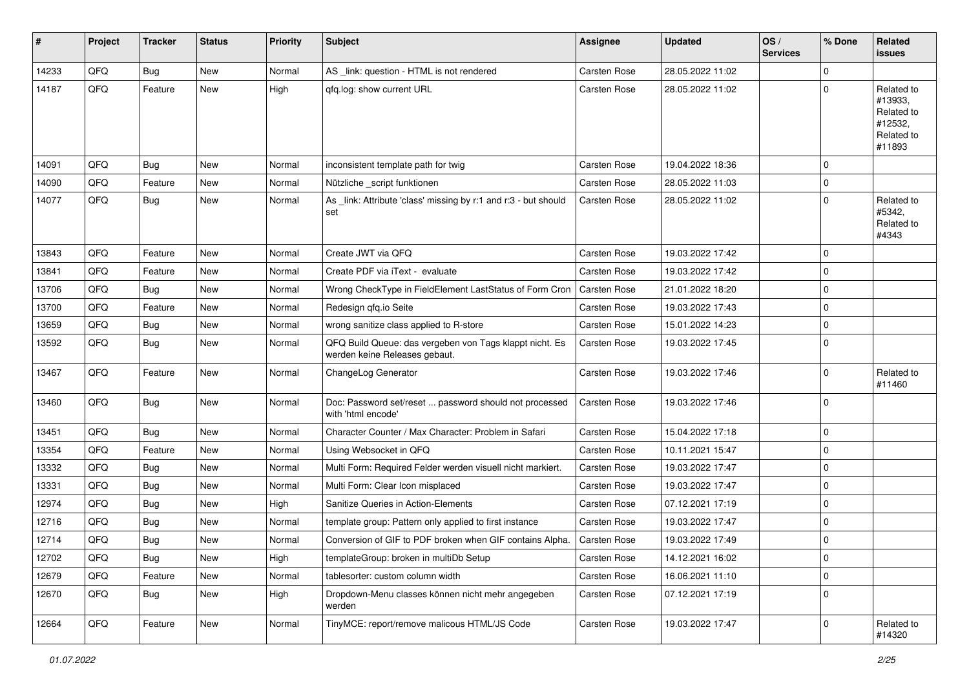| #     | Project | <b>Tracker</b> | <b>Status</b> | <b>Priority</b> | <b>Subject</b>                                                                           | <b>Assignee</b>     | <b>Updated</b>   | OS/<br><b>Services</b> | % Done      | Related<br><b>issues</b>                                               |
|-------|---------|----------------|---------------|-----------------|------------------------------------------------------------------------------------------|---------------------|------------------|------------------------|-------------|------------------------------------------------------------------------|
| 14233 | QFQ     | Bug            | <b>New</b>    | Normal          | AS _link: question - HTML is not rendered                                                | Carsten Rose        | 28.05.2022 11:02 |                        | $\Omega$    |                                                                        |
| 14187 | QFQ     | Feature        | New           | High            | gfg.log: show current URL                                                                | Carsten Rose        | 28.05.2022 11:02 |                        | $\Omega$    | Related to<br>#13933,<br>Related to<br>#12532,<br>Related to<br>#11893 |
| 14091 | QFQ     | <b>Bug</b>     | New           | Normal          | inconsistent template path for twig                                                      | Carsten Rose        | 19.04.2022 18:36 |                        | $\Omega$    |                                                                        |
| 14090 | QFQ     | Feature        | New           | Normal          | Nützliche _script funktionen                                                             | Carsten Rose        | 28.05.2022 11:03 |                        | 0           |                                                                        |
| 14077 | QFQ     | Bug            | New           | Normal          | As _link: Attribute 'class' missing by r:1 and r:3 - but should<br>set                   | Carsten Rose        | 28.05.2022 11:02 |                        | $\mathbf 0$ | Related to<br>#5342,<br>Related to<br>#4343                            |
| 13843 | QFQ     | Feature        | New           | Normal          | Create JWT via QFQ                                                                       | Carsten Rose        | 19.03.2022 17:42 |                        | 0           |                                                                        |
| 13841 | QFQ     | Feature        | New           | Normal          | Create PDF via iText - evaluate                                                          | Carsten Rose        | 19.03.2022 17:42 |                        | $\mathbf 0$ |                                                                        |
| 13706 | QFQ     | <b>Bug</b>     | New           | Normal          | Wrong CheckType in FieldElement LastStatus of Form Cron                                  | <b>Carsten Rose</b> | 21.01.2022 18:20 |                        | 0           |                                                                        |
| 13700 | QFQ     | Feature        | New           | Normal          | Redesign qfq.io Seite                                                                    | Carsten Rose        | 19.03.2022 17:43 |                        | $\mathbf 0$ |                                                                        |
| 13659 | QFQ     | <b>Bug</b>     | New           | Normal          | wrong sanitize class applied to R-store                                                  | Carsten Rose        | 15.01.2022 14:23 |                        | 0           |                                                                        |
| 13592 | QFQ     | Bug            | New           | Normal          | QFQ Build Queue: das vergeben von Tags klappt nicht. Es<br>werden keine Releases gebaut. | Carsten Rose        | 19.03.2022 17:45 |                        | $\mathbf 0$ |                                                                        |
| 13467 | QFQ     | Feature        | New           | Normal          | ChangeLog Generator                                                                      | Carsten Rose        | 19.03.2022 17:46 |                        | $\mathbf 0$ | Related to<br>#11460                                                   |
| 13460 | QFQ     | <b>Bug</b>     | New           | Normal          | Doc: Password set/reset  password should not processed<br>with 'html encode'             | Carsten Rose        | 19.03.2022 17:46 |                        | 0           |                                                                        |
| 13451 | QFQ     | Bug            | <b>New</b>    | Normal          | Character Counter / Max Character: Problem in Safari                                     | Carsten Rose        | 15.04.2022 17:18 |                        | $\mathbf 0$ |                                                                        |
| 13354 | QFQ     | Feature        | New           | Normal          | Using Websocket in QFQ                                                                   | Carsten Rose        | 10.11.2021 15:47 |                        | 0           |                                                                        |
| 13332 | QFQ     | <b>Bug</b>     | New           | Normal          | Multi Form: Required Felder werden visuell nicht markiert.                               | Carsten Rose        | 19.03.2022 17:47 |                        | 0           |                                                                        |
| 13331 | QFQ     | <b>Bug</b>     | New           | Normal          | Multi Form: Clear Icon misplaced                                                         | Carsten Rose        | 19.03.2022 17:47 |                        | $\Omega$    |                                                                        |
| 12974 | QFQ     | <b>Bug</b>     | New           | High            | Sanitize Queries in Action-Elements                                                      | Carsten Rose        | 07.12.2021 17:19 |                        | 0           |                                                                        |
| 12716 | QFQ     | <b>Bug</b>     | New           | Normal          | template group: Pattern only applied to first instance                                   | Carsten Rose        | 19.03.2022 17:47 |                        | 0           |                                                                        |
| 12714 | QFQ     | <b>Bug</b>     | New           | Normal          | Conversion of GIF to PDF broken when GIF contains Alpha.                                 | Carsten Rose        | 19.03.2022 17:49 |                        | $\mathbf 0$ |                                                                        |
| 12702 | QFQ     | <b>Bug</b>     | New           | High            | templateGroup: broken in multiDb Setup                                                   | Carsten Rose        | 14.12.2021 16:02 |                        | 0           |                                                                        |
| 12679 | QFQ     | Feature        | New           | Normal          | tablesorter: custom column width                                                         | Carsten Rose        | 16.06.2021 11:10 |                        | $\mathbf 0$ |                                                                        |
| 12670 | QFQ     | <b>Bug</b>     | New           | High            | Dropdown-Menu classes können nicht mehr angegeben<br>werden                              | Carsten Rose        | 07.12.2021 17:19 |                        | 0           |                                                                        |
| 12664 | QFQ     | Feature        | New           | Normal          | TinyMCE: report/remove malicous HTML/JS Code                                             | Carsten Rose        | 19.03.2022 17:47 |                        | 0           | Related to<br>#14320                                                   |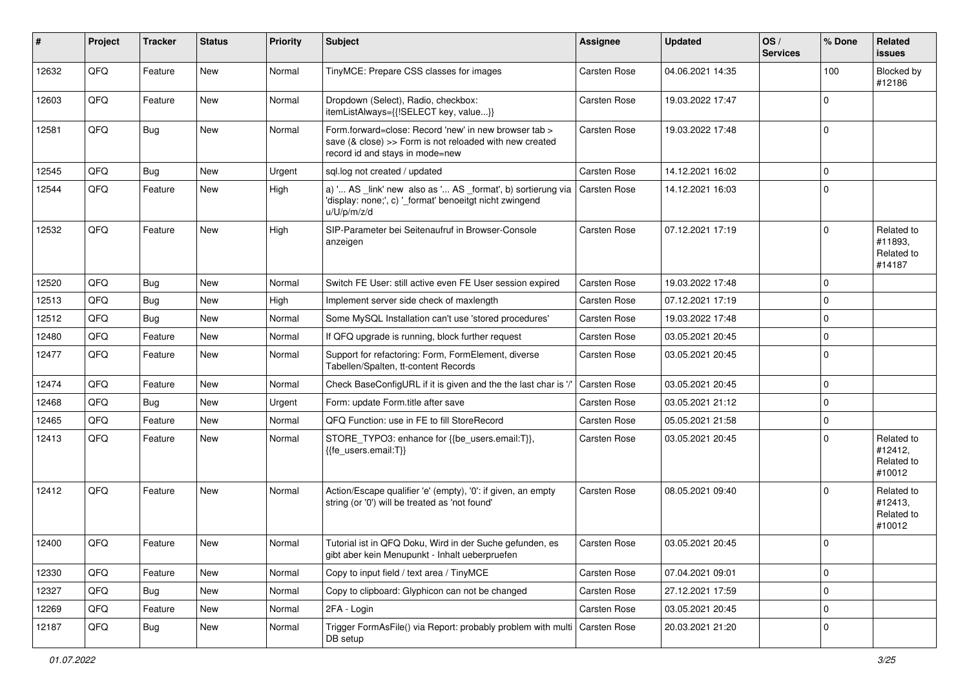| #     | Project | <b>Tracker</b> | <b>Status</b> | <b>Priority</b> | <b>Subject</b>                                                                                                                                      | <b>Assignee</b>     | <b>Updated</b>   | OS/<br><b>Services</b> | % Done      | Related<br><b>issues</b>                      |
|-------|---------|----------------|---------------|-----------------|-----------------------------------------------------------------------------------------------------------------------------------------------------|---------------------|------------------|------------------------|-------------|-----------------------------------------------|
| 12632 | QFQ     | Feature        | New           | Normal          | TinyMCE: Prepare CSS classes for images                                                                                                             | Carsten Rose        | 04.06.2021 14:35 |                        | 100         | Blocked by<br>#12186                          |
| 12603 | QFQ     | Feature        | New           | Normal          | Dropdown (Select), Radio, checkbox:<br>itemListAlways={{!SELECT key, value}}                                                                        | Carsten Rose        | 19.03.2022 17:47 |                        | $\mathbf 0$ |                                               |
| 12581 | QFQ     | Bug            | New           | Normal          | Form.forward=close: Record 'new' in new browser tab ><br>save (& close) >> Form is not reloaded with new created<br>record id and stays in mode=new | Carsten Rose        | 19.03.2022 17:48 |                        | $\mathbf 0$ |                                               |
| 12545 | QFQ     | <b>Bug</b>     | New           | Urgent          | sql.log not created / updated                                                                                                                       | Carsten Rose        | 14.12.2021 16:02 |                        | $\mathbf 0$ |                                               |
| 12544 | QFQ     | Feature        | New           | High            | a) ' AS _link' new also as ' AS _format', b) sortierung via<br>'display: none;', c) ' format' benoeitgt nicht zwingend<br>u/U/p/m/z/d               | Carsten Rose        | 14.12.2021 16:03 |                        | $\mathbf 0$ |                                               |
| 12532 | QFQ     | Feature        | <b>New</b>    | High            | SIP-Parameter bei Seitenaufruf in Browser-Console<br>anzeigen                                                                                       | Carsten Rose        | 07.12.2021 17:19 |                        | $\Omega$    | Related to<br>#11893,<br>Related to<br>#14187 |
| 12520 | QFQ     | <b>Bug</b>     | <b>New</b>    | Normal          | Switch FE User: still active even FE User session expired                                                                                           | Carsten Rose        | 19.03.2022 17:48 |                        | $\mathbf 0$ |                                               |
| 12513 | QFQ     | <b>Bug</b>     | New           | High            | Implement server side check of maxlength                                                                                                            | Carsten Rose        | 07.12.2021 17:19 |                        | $\mathbf 0$ |                                               |
| 12512 | QFQ     | <b>Bug</b>     | New           | Normal          | Some MySQL Installation can't use 'stored procedures'                                                                                               | Carsten Rose        | 19.03.2022 17:48 |                        | $\mathbf 0$ |                                               |
| 12480 | QFQ     | Feature        | New           | Normal          | If QFQ upgrade is running, block further request                                                                                                    | Carsten Rose        | 03.05.2021 20:45 |                        | $\pmb{0}$   |                                               |
| 12477 | QFQ     | Feature        | New           | Normal          | Support for refactoring: Form, FormElement, diverse<br>Tabellen/Spalten, tt-content Records                                                         | Carsten Rose        | 03.05.2021 20:45 |                        | $\mathbf 0$ |                                               |
| 12474 | QFQ     | Feature        | New           | Normal          | Check BaseConfigURL if it is given and the the last char is '/'                                                                                     | Carsten Rose        | 03.05.2021 20:45 |                        | $\mathbf 0$ |                                               |
| 12468 | QFQ     | Bug            | New           | Urgent          | Form: update Form.title after save                                                                                                                  | Carsten Rose        | 03.05.2021 21:12 |                        | $\mathbf 0$ |                                               |
| 12465 | QFQ     | Feature        | New           | Normal          | QFQ Function: use in FE to fill StoreRecord                                                                                                         | Carsten Rose        | 05.05.2021 21:58 |                        | $\pmb{0}$   |                                               |
| 12413 | QFQ     | Feature        | New           | Normal          | STORE_TYPO3: enhance for {{be_users.email:T}},<br>{{fe_users.email:T}}                                                                              | Carsten Rose        | 03.05.2021 20:45 |                        | $\Omega$    | Related to<br>#12412,<br>Related to<br>#10012 |
| 12412 | QFQ     | Feature        | New           | Normal          | Action/Escape qualifier 'e' (empty), '0': if given, an empty<br>string (or '0') will be treated as 'not found'                                      | Carsten Rose        | 08.05.2021 09:40 |                        | $\Omega$    | Related to<br>#12413,<br>Related to<br>#10012 |
| 12400 | QFQ     | Feature        | New           | Normal          | Tutorial ist in QFQ Doku, Wird in der Suche gefunden, es<br>gibt aber kein Menupunkt - Inhalt ueberpruefen                                          | <b>Carsten Rose</b> | 03.05.2021 20:45 |                        | $\Omega$    |                                               |
| 12330 | QFQ     | Feature        | New           | Normal          | Copy to input field / text area / TinyMCE                                                                                                           | Carsten Rose        | 07.04.2021 09:01 |                        | 0           |                                               |
| 12327 | QFQ     | Bug            | New           | Normal          | Copy to clipboard: Glyphicon can not be changed                                                                                                     | Carsten Rose        | 27.12.2021 17:59 |                        | $\pmb{0}$   |                                               |
| 12269 | QFQ     | Feature        | New           | Normal          | 2FA - Login                                                                                                                                         | Carsten Rose        | 03.05.2021 20:45 |                        | 0           |                                               |
| 12187 | QFQ     | <b>Bug</b>     | New           | Normal          | Trigger FormAsFile() via Report: probably problem with multi<br>DB setup                                                                            | Carsten Rose        | 20.03.2021 21:20 |                        | $\pmb{0}$   |                                               |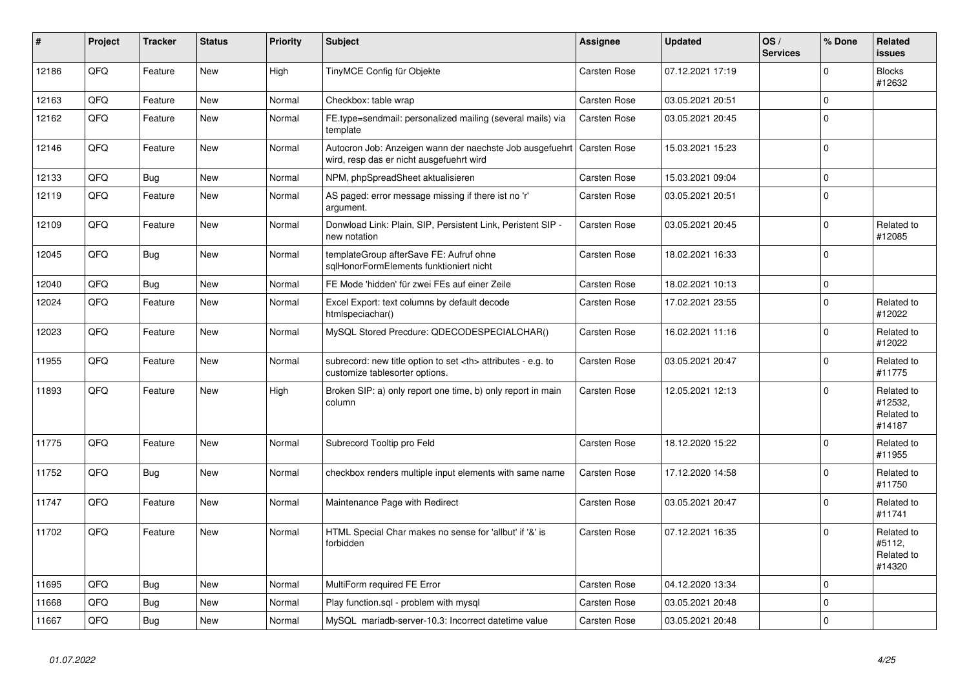| $\vert$ # | Project | <b>Tracker</b> | <b>Status</b> | <b>Priority</b> | <b>Subject</b>                                                                                       | Assignee                                               | <b>Updated</b>   | OS/<br><b>Services</b> | % Done       | <b>Related</b><br><b>issues</b>               |                      |
|-----------|---------|----------------|---------------|-----------------|------------------------------------------------------------------------------------------------------|--------------------------------------------------------|------------------|------------------------|--------------|-----------------------------------------------|----------------------|
| 12186     | QFQ     | Feature        | <b>New</b>    | High            | TinyMCE Config für Objekte                                                                           | Carsten Rose                                           | 07.12.2021 17:19 |                        | $\Omega$     | <b>Blocks</b><br>#12632                       |                      |
| 12163     | QFQ     | Feature        | <b>New</b>    | Normal          | Checkbox: table wrap                                                                                 | Carsten Rose                                           | 03.05.2021 20:51 |                        | $\mathbf 0$  |                                               |                      |
| 12162     | QFQ     | Feature        | <b>New</b>    | Normal          | FE.type=sendmail: personalized mailing (several mails) via<br>template                               | <b>Carsten Rose</b>                                    | 03.05.2021 20:45 |                        | $\Omega$     |                                               |                      |
| 12146     | QFQ     | Feature        | <b>New</b>    | Normal          | Autocron Job: Anzeigen wann der naechste Job ausgefuehrt<br>wird, resp das er nicht ausgefuehrt wird | Carsten Rose                                           | 15.03.2021 15:23 |                        | $\mathbf 0$  |                                               |                      |
| 12133     | QFQ     | <b>Bug</b>     | New           | Normal          | NPM, phpSpreadSheet aktualisieren                                                                    | Carsten Rose                                           | 15.03.2021 09:04 |                        | $\mathbf 0$  |                                               |                      |
| 12119     | QFQ     | Feature        | <b>New</b>    | Normal          | AS paged: error message missing if there ist no 'r'<br>argument.                                     | Carsten Rose                                           | 03.05.2021 20:51 |                        | $\mathbf 0$  |                                               |                      |
| 12109     | QFQ     | Feature        | New           | Normal          | Donwload Link: Plain, SIP, Persistent Link, Peristent SIP -<br>new notation                          | Carsten Rose                                           | 03.05.2021 20:45 |                        | $\Omega$     | Related to<br>#12085                          |                      |
| 12045     | QFQ     | <b>Bug</b>     | <b>New</b>    | Normal          | templateGroup afterSave FE: Aufruf ohne<br>sglHonorFormElements funktioniert nicht                   | Carsten Rose                                           | 18.02.2021 16:33 |                        | $\Omega$     |                                               |                      |
| 12040     | QFQ     | Bug            | <b>New</b>    | Normal          | FE Mode 'hidden' für zwei FEs auf einer Zeile                                                        | Carsten Rose                                           | 18.02.2021 10:13 |                        | $\mathbf 0$  |                                               |                      |
| 12024     | QFQ     | Feature        | <b>New</b>    | Normal          | Excel Export: text columns by default decode<br>htmlspeciachar()                                     | Carsten Rose                                           | 17.02.2021 23:55 |                        | $\mathbf 0$  | Related to<br>#12022                          |                      |
| 12023     | QFQ     | Feature        | New           | Normal          | MySQL Stored Precdure: QDECODESPECIALCHAR()                                                          | Carsten Rose                                           | 16.02.2021 11:16 |                        | $\mathbf 0$  | Related to<br>#12022                          |                      |
| 11955     | QFQ     | Feature        | New           | Normal          | subrecord: new title option to set <th> attributes - e.g. to<br/>customize tablesorter options.</th> | attributes - e.g. to<br>customize tablesorter options. | Carsten Rose     | 03.05.2021 20:47       |              | $\Omega$                                      | Related to<br>#11775 |
| 11893     | QFQ     | Feature        | <b>New</b>    | High            | Broken SIP: a) only report one time, b) only report in main<br>column                                | Carsten Rose                                           | 12.05.2021 12:13 |                        | $\Omega$     | Related to<br>#12532,<br>Related to<br>#14187 |                      |
| 11775     | QFQ     | Feature        | New           | Normal          | Subrecord Tooltip pro Feld                                                                           | Carsten Rose                                           | 18.12.2020 15:22 |                        | $\mathbf 0$  | Related to<br>#11955                          |                      |
| 11752     | QFQ     | Bug            | New           | Normal          | checkbox renders multiple input elements with same name                                              | <b>Carsten Rose</b>                                    | 17.12.2020 14:58 |                        | $\Omega$     | Related to<br>#11750                          |                      |
| 11747     | QFQ     | Feature        | <b>New</b>    | Normal          | Maintenance Page with Redirect                                                                       | Carsten Rose                                           | 03.05.2021 20:47 |                        | $\Omega$     | Related to<br>#11741                          |                      |
| 11702     | QFQ     | Feature        | <b>New</b>    | Normal          | HTML Special Char makes no sense for 'allbut' if '&' is<br>forbidden                                 | Carsten Rose                                           | 07.12.2021 16:35 |                        | $\Omega$     | Related to<br>#5112,<br>Related to<br>#14320  |                      |
| 11695     | QFQ     | Bug            | <b>New</b>    | Normal          | MultiForm required FE Error                                                                          | Carsten Rose                                           | 04.12.2020 13:34 |                        | $\Omega$     |                                               |                      |
| 11668     | QFQ     | <b>Bug</b>     | <b>New</b>    | Normal          | Play function.sql - problem with mysql                                                               | Carsten Rose                                           | 03.05.2021 20:48 |                        | $\mathbf 0$  |                                               |                      |
| 11667     | QFQ     | <b>Bug</b>     | <b>New</b>    | Normal          | MySQL mariadb-server-10.3: Incorrect datetime value                                                  | Carsten Rose                                           | 03.05.2021 20:48 |                        | $\mathbf{0}$ |                                               |                      |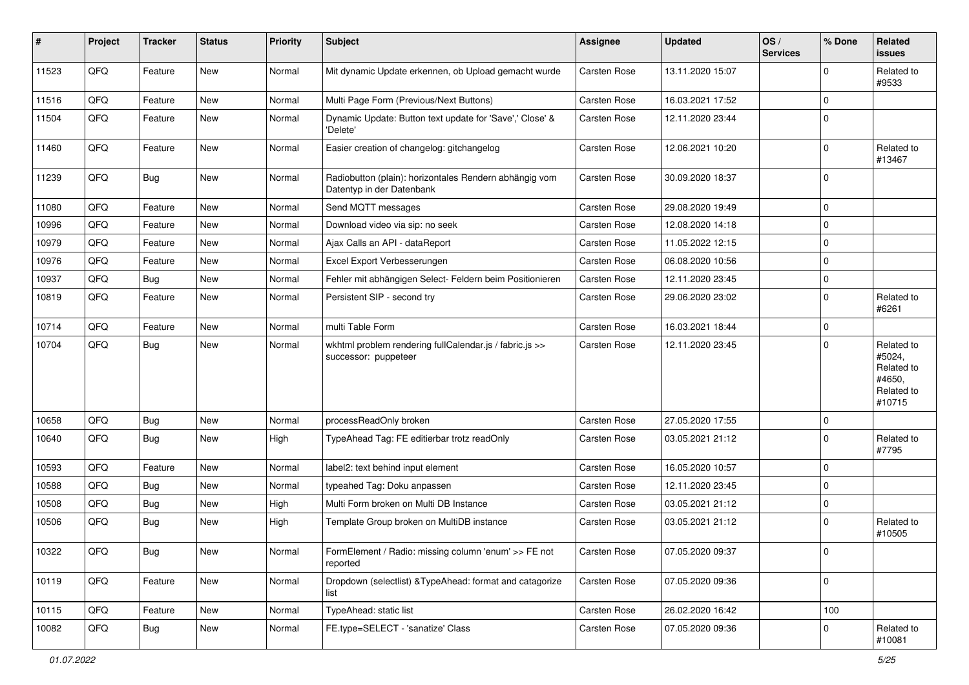| #     | Project | <b>Tracker</b> | <b>Status</b> | <b>Priority</b> | <b>Subject</b>                                                                      | <b>Assignee</b>     | <b>Updated</b>   | OS/<br><b>Services</b> | % Done      | Related<br><b>issues</b>                                             |
|-------|---------|----------------|---------------|-----------------|-------------------------------------------------------------------------------------|---------------------|------------------|------------------------|-------------|----------------------------------------------------------------------|
| 11523 | QFQ     | Feature        | <b>New</b>    | Normal          | Mit dynamic Update erkennen, ob Upload gemacht wurde                                | Carsten Rose        | 13.11.2020 15:07 |                        | $\mathbf 0$ | Related to<br>#9533                                                  |
| 11516 | QFQ     | Feature        | New           | Normal          | Multi Page Form (Previous/Next Buttons)                                             | Carsten Rose        | 16.03.2021 17:52 |                        | $\mathbf 0$ |                                                                      |
| 11504 | QFQ     | Feature        | New           | Normal          | Dynamic Update: Button text update for 'Save',' Close' &<br>'Delete'                | Carsten Rose        | 12.11.2020 23:44 |                        | 0           |                                                                      |
| 11460 | QFQ     | Feature        | New           | Normal          | Easier creation of changelog: gitchangelog                                          | Carsten Rose        | 12.06.2021 10:20 |                        | $\mathbf 0$ | Related to<br>#13467                                                 |
| 11239 | QFQ     | <b>Bug</b>     | New           | Normal          | Radiobutton (plain): horizontales Rendern abhängig vom<br>Datentyp in der Datenbank | Carsten Rose        | 30.09.2020 18:37 |                        | 0           |                                                                      |
| 11080 | QFQ     | Feature        | New           | Normal          | Send MQTT messages                                                                  | Carsten Rose        | 29.08.2020 19:49 |                        | 0           |                                                                      |
| 10996 | QFQ     | Feature        | New           | Normal          | Download video via sip: no seek                                                     | Carsten Rose        | 12.08.2020 14:18 |                        | $\mathbf 0$ |                                                                      |
| 10979 | QFQ     | Feature        | <b>New</b>    | Normal          | Ajax Calls an API - dataReport                                                      | Carsten Rose        | 11.05.2022 12:15 |                        | 0           |                                                                      |
| 10976 | QFQ     | Feature        | New           | Normal          | Excel Export Verbesserungen                                                         | Carsten Rose        | 06.08.2020 10:56 |                        | $\mathbf 0$ |                                                                      |
| 10937 | QFQ     | <b>Bug</b>     | New           | Normal          | Fehler mit abhängigen Select- Feldern beim Positionieren                            | Carsten Rose        | 12.11.2020 23:45 |                        | $\mathbf 0$ |                                                                      |
| 10819 | QFQ     | Feature        | New           | Normal          | Persistent SIP - second try                                                         | Carsten Rose        | 29.06.2020 23:02 |                        | 0           | Related to<br>#6261                                                  |
| 10714 | QFQ     | Feature        | <b>New</b>    | Normal          | multi Table Form                                                                    | Carsten Rose        | 16.03.2021 18:44 |                        | 0           |                                                                      |
| 10704 | QFQ     | Bug            | New           | Normal          | wkhtml problem rendering fullCalendar.js / fabric.js >><br>successor: puppeteer     | Carsten Rose        | 12.11.2020 23:45 |                        | $\Omega$    | Related to<br>#5024,<br>Related to<br>#4650,<br>Related to<br>#10715 |
| 10658 | QFQ     | Bug            | New           | Normal          | processReadOnly broken                                                              | Carsten Rose        | 27.05.2020 17:55 |                        | 0           |                                                                      |
| 10640 | QFQ     | <b>Bug</b>     | New           | High            | TypeAhead Tag: FE editierbar trotz readOnly                                         | Carsten Rose        | 03.05.2021 21:12 |                        | $\mathbf 0$ | Related to<br>#7795                                                  |
| 10593 | QFQ     | Feature        | New           | Normal          | label2: text behind input element                                                   | Carsten Rose        | 16.05.2020 10:57 |                        | $\mathbf 0$ |                                                                      |
| 10588 | QFQ     | Bug            | New           | Normal          | typeahed Tag: Doku anpassen                                                         | Carsten Rose        | 12.11.2020 23:45 |                        | $\mathbf 0$ |                                                                      |
| 10508 | QFQ     | <b>Bug</b>     | New           | High            | Multi Form broken on Multi DB Instance                                              | Carsten Rose        | 03.05.2021 21:12 |                        | 0           |                                                                      |
| 10506 | QFQ     | <b>Bug</b>     | New           | High            | Template Group broken on MultiDB instance                                           | Carsten Rose        | 03.05.2021 21:12 |                        | $\mathbf 0$ | Related to<br>#10505                                                 |
| 10322 | QFQ     | Bug            | New           | Normal          | FormElement / Radio: missing column 'enum' >> FE not<br>reported                    | <b>Carsten Rose</b> | 07.05.2020 09:37 |                        | 0           |                                                                      |
| 10119 | QFQ     | Feature        | New           | Normal          | Dropdown (selectlist) & TypeAhead: format and catagorize<br>list                    | Carsten Rose        | 07.05.2020 09:36 |                        | 0           |                                                                      |
| 10115 | QFQ     | Feature        | New           | Normal          | TypeAhead: static list                                                              | Carsten Rose        | 26.02.2020 16:42 |                        | 100         |                                                                      |
| 10082 | QFQ     | <b>Bug</b>     | New           | Normal          | FE.type=SELECT - 'sanatize' Class                                                   | Carsten Rose        | 07.05.2020 09:36 |                        | 0           | Related to<br>#10081                                                 |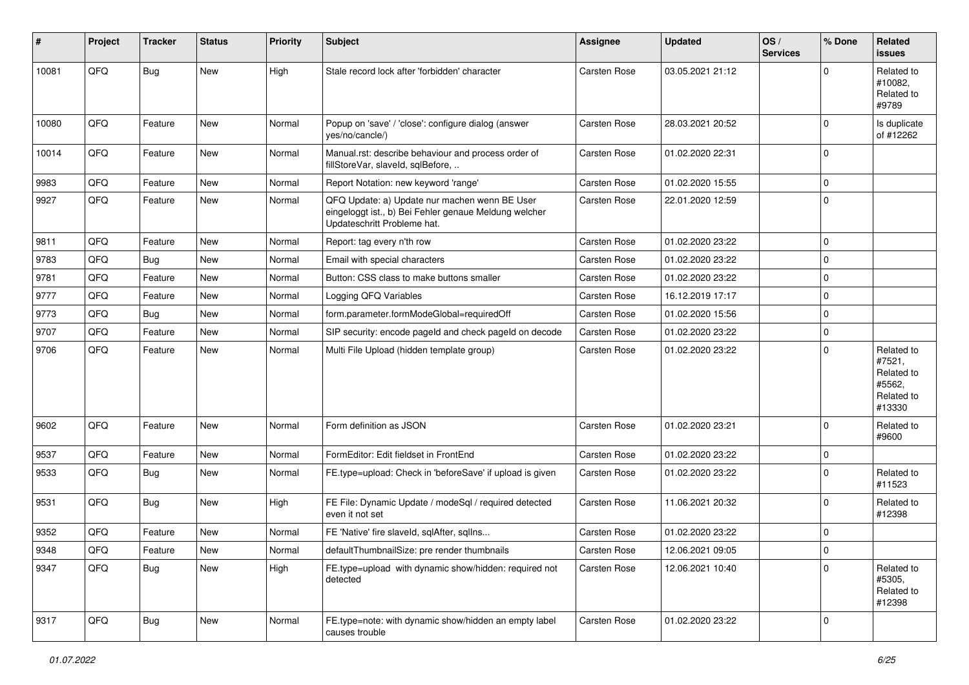| #     | Project | <b>Tracker</b> | <b>Status</b> | <b>Priority</b> | <b>Subject</b>                                                                                                                        | <b>Assignee</b>     | <b>Updated</b>   | OS/<br><b>Services</b> | % Done      | Related<br><b>issues</b>                                             |
|-------|---------|----------------|---------------|-----------------|---------------------------------------------------------------------------------------------------------------------------------------|---------------------|------------------|------------------------|-------------|----------------------------------------------------------------------|
| 10081 | QFQ     | <b>Bug</b>     | New           | High            | Stale record lock after 'forbidden' character                                                                                         | <b>Carsten Rose</b> | 03.05.2021 21:12 |                        | $\Omega$    | Related to<br>#10082.<br>Related to<br>#9789                         |
| 10080 | QFQ     | Feature        | New           | Normal          | Popup on 'save' / 'close': configure dialog (answer<br>yes/no/cancle/)                                                                | <b>Carsten Rose</b> | 28.03.2021 20:52 |                        | $\Omega$    | Is duplicate<br>of #12262                                            |
| 10014 | QFQ     | Feature        | New           | Normal          | Manual.rst: describe behaviour and process order of<br>fillStoreVar, slaveId, sqlBefore,                                              | Carsten Rose        | 01.02.2020 22:31 |                        | $\mathbf 0$ |                                                                      |
| 9983  | QFQ     | Feature        | New           | Normal          | Report Notation: new keyword 'range'                                                                                                  | Carsten Rose        | 01.02.2020 15:55 |                        | 0           |                                                                      |
| 9927  | QFQ     | Feature        | New           | Normal          | QFQ Update: a) Update nur machen wenn BE User<br>eingeloggt ist., b) Bei Fehler genaue Meldung welcher<br>Updateschritt Probleme hat. | Carsten Rose        | 22.01.2020 12:59 |                        | $\Omega$    |                                                                      |
| 9811  | QFQ     | Feature        | New           | Normal          | Report: tag every n'th row                                                                                                            | Carsten Rose        | 01.02.2020 23:22 |                        | $\Omega$    |                                                                      |
| 9783  | QFQ     | <b>Bug</b>     | New           | Normal          | Email with special characters                                                                                                         | Carsten Rose        | 01.02.2020 23:22 |                        | $\mathbf 0$ |                                                                      |
| 9781  | QFQ     | Feature        | New           | Normal          | Button: CSS class to make buttons smaller                                                                                             | Carsten Rose        | 01.02.2020 23:22 |                        | $\Omega$    |                                                                      |
| 9777  | QFQ     | Feature        | New           | Normal          | Logging QFQ Variables                                                                                                                 | <b>Carsten Rose</b> | 16.12.2019 17:17 |                        | $\Omega$    |                                                                      |
| 9773  | QFQ     | Bug            | New           | Normal          | form.parameter.formModeGlobal=requiredOff                                                                                             | Carsten Rose        | 01.02.2020 15:56 |                        | 0           |                                                                      |
| 9707  | QFQ     | Feature        | New           | Normal          | SIP security: encode pageld and check pageld on decode                                                                                | Carsten Rose        | 01.02.2020 23:22 |                        | 0           |                                                                      |
| 9706  | QFQ     | Feature        | New           | Normal          | Multi File Upload (hidden template group)                                                                                             | Carsten Rose        | 01.02.2020 23:22 |                        | $\Omega$    | Related to<br>#7521,<br>Related to<br>#5562,<br>Related to<br>#13330 |
| 9602  | QFQ     | Feature        | New           | Normal          | Form definition as JSON                                                                                                               | Carsten Rose        | 01.02.2020 23:21 |                        | $\Omega$    | Related to<br>#9600                                                  |
| 9537  | QFQ     | Feature        | New           | Normal          | FormEditor: Edit fieldset in FrontEnd                                                                                                 | <b>Carsten Rose</b> | 01.02.2020 23:22 |                        | 0           |                                                                      |
| 9533  | QFQ     | <b>Bug</b>     | New           | Normal          | FE.type=upload: Check in 'beforeSave' if upload is given                                                                              | Carsten Rose        | 01.02.2020 23:22 |                        | $\Omega$    | Related to<br>#11523                                                 |
| 9531  | QFQ     | Bug            | New           | High            | FE File: Dynamic Update / modeSql / required detected<br>even it not set                                                              | <b>Carsten Rose</b> | 11.06.2021 20:32 |                        | $\Omega$    | Related to<br>#12398                                                 |
| 9352  | QFQ     | Feature        | New           | Normal          | FE 'Native' fire slaveld, sqlAfter, sqlIns                                                                                            | Carsten Rose        | 01.02.2020 23:22 |                        | $\Omega$    |                                                                      |
| 9348  | QFG     | Feature        | New           | Normal          | defaultThumbnailSize: pre render thumbnails                                                                                           | Carsten Rose        | 12.06.2021 09:05 |                        | 0           |                                                                      |
| 9347  | QFQ     | Bug            | New           | High            | FE.type=upload with dynamic show/hidden: required not<br>detected                                                                     | Carsten Rose        | 12.06.2021 10:40 |                        | $\Omega$    | Related to<br>#5305,<br>Related to<br>#12398                         |
| 9317  | QFQ     | <b>Bug</b>     | New           | Normal          | FE.type=note: with dynamic show/hidden an empty label<br>causes trouble                                                               | Carsten Rose        | 01.02.2020 23:22 |                        | 0           |                                                                      |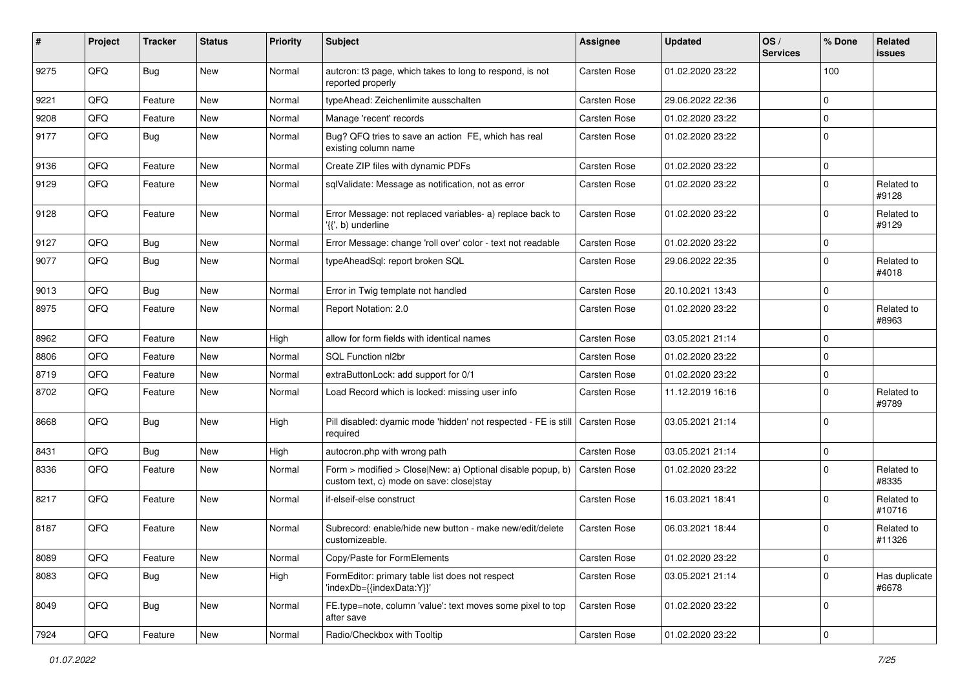| #    | Project | <b>Tracker</b> | <b>Status</b> | <b>Priority</b> | Subject                                                                                                | <b>Assignee</b>     | <b>Updated</b>   | OS/<br><b>Services</b> | % Done      | Related<br><b>issues</b> |
|------|---------|----------------|---------------|-----------------|--------------------------------------------------------------------------------------------------------|---------------------|------------------|------------------------|-------------|--------------------------|
| 9275 | QFQ     | <b>Bug</b>     | <b>New</b>    | Normal          | autcron: t3 page, which takes to long to respond, is not<br>reported properly                          | Carsten Rose        | 01.02.2020 23:22 |                        | 100         |                          |
| 9221 | QFQ     | Feature        | <b>New</b>    | Normal          | typeAhead: Zeichenlimite ausschalten                                                                   | <b>Carsten Rose</b> | 29.06.2022 22:36 |                        | $\mathbf 0$ |                          |
| 9208 | QFQ     | Feature        | New           | Normal          | Manage 'recent' records                                                                                | Carsten Rose        | 01.02.2020 23:22 |                        | $\mathbf 0$ |                          |
| 9177 | QFQ     | Bug            | New           | Normal          | Bug? QFQ tries to save an action FE, which has real<br>existing column name                            | Carsten Rose        | 01.02.2020 23:22 |                        | $\mathbf 0$ |                          |
| 9136 | QFQ     | Feature        | <b>New</b>    | Normal          | Create ZIP files with dynamic PDFs                                                                     | Carsten Rose        | 01.02.2020 23:22 |                        | $\mathbf 0$ |                          |
| 9129 | QFQ     | Feature        | <b>New</b>    | Normal          | sqlValidate: Message as notification, not as error                                                     | Carsten Rose        | 01.02.2020 23:22 |                        | $\mathbf 0$ | Related to<br>#9128      |
| 9128 | QFQ     | Feature        | New           | Normal          | Error Message: not replaced variables- a) replace back to<br>'{{', b) underline                        | Carsten Rose        | 01.02.2020 23:22 |                        | $\mathbf 0$ | Related to<br>#9129      |
| 9127 | QFQ     | <b>Bug</b>     | New           | Normal          | Error Message: change 'roll over' color - text not readable                                            | Carsten Rose        | 01.02.2020 23:22 |                        | $\mathbf 0$ |                          |
| 9077 | QFQ     | <b>Bug</b>     | New           | Normal          | typeAheadSql: report broken SQL                                                                        | Carsten Rose        | 29.06.2022 22:35 |                        | $\mathbf 0$ | Related to<br>#4018      |
| 9013 | QFQ     | <b>Bug</b>     | <b>New</b>    | Normal          | Error in Twig template not handled                                                                     | Carsten Rose        | 20.10.2021 13:43 |                        | $\mathbf 0$ |                          |
| 8975 | QFQ     | Feature        | New           | Normal          | Report Notation: 2.0                                                                                   | Carsten Rose        | 01.02.2020 23:22 |                        | $\mathbf 0$ | Related to<br>#8963      |
| 8962 | QFQ     | Feature        | New           | High            | allow for form fields with identical names                                                             | <b>Carsten Rose</b> | 03.05.2021 21:14 |                        | $\mathbf 0$ |                          |
| 8806 | QFQ     | Feature        | New           | Normal          | SOL Function nl2br                                                                                     | Carsten Rose        | 01.02.2020 23:22 |                        | $\mathbf 0$ |                          |
| 8719 | QFQ     | Feature        | <b>New</b>    | Normal          | extraButtonLock: add support for 0/1                                                                   | Carsten Rose        | 01.02.2020 23:22 |                        | $\mathbf 0$ |                          |
| 8702 | QFQ     | Feature        | New           | Normal          | Load Record which is locked: missing user info                                                         | Carsten Rose        | 11.12.2019 16:16 |                        | $\mathbf 0$ | Related to<br>#9789      |
| 8668 | QFQ     | Bug            | New           | High            | Pill disabled: dyamic mode 'hidden' not respected - FE is still<br>required                            | <b>Carsten Rose</b> | 03.05.2021 21:14 |                        | $\Omega$    |                          |
| 8431 | QFQ     | Bug            | New           | High            | autocron.php with wrong path                                                                           | Carsten Rose        | 03.05.2021 21:14 |                        | $\mathbf 0$ |                          |
| 8336 | QFQ     | Feature        | New           | Normal          | Form > modified > Close New: a) Optional disable popup, b)<br>custom text, c) mode on save: close stay | Carsten Rose        | 01.02.2020 23:22 |                        | $\mathbf 0$ | Related to<br>#8335      |
| 8217 | QFQ     | Feature        | <b>New</b>    | Normal          | if-elseif-else construct                                                                               | <b>Carsten Rose</b> | 16.03.2021 18:41 |                        | $\mathbf 0$ | Related to<br>#10716     |
| 8187 | QFQ     | Feature        | New           | Normal          | Subrecord: enable/hide new button - make new/edit/delete<br>customizeable.                             | Carsten Rose        | 06.03.2021 18:44 |                        | $\mathbf 0$ | Related to<br>#11326     |
| 8089 | QFQ     | Feature        | New           | Normal          | Copy/Paste for FormElements                                                                            | Carsten Rose        | 01.02.2020 23:22 |                        | 0           |                          |
| 8083 | QFQ     | Bug            | New           | High            | FormEditor: primary table list does not respect<br>'indexDb={{indexData:Y}}'                           | Carsten Rose        | 03.05.2021 21:14 |                        | $\mathbf 0$ | Has duplicate<br>#6678   |
| 8049 | QFQ     | Bug            | New           | Normal          | FE.type=note, column 'value': text moves some pixel to top<br>after save                               | Carsten Rose        | 01.02.2020 23:22 |                        | $\mathbf 0$ |                          |
| 7924 | QFQ     | Feature        | New           | Normal          | Radio/Checkbox with Tooltip                                                                            | Carsten Rose        | 01.02.2020 23:22 |                        | 0           |                          |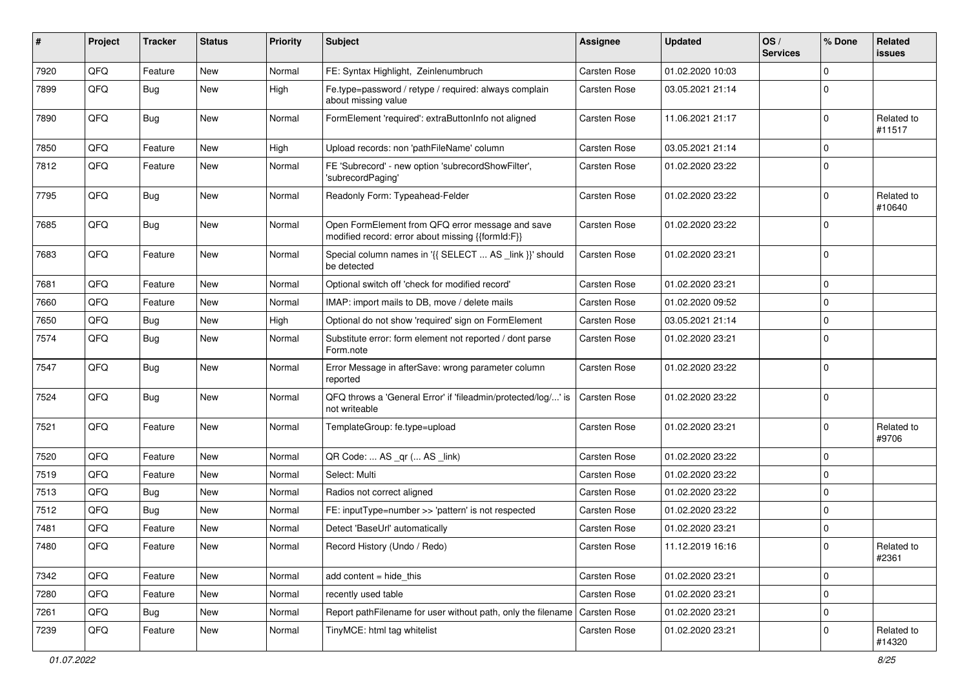| #    | Project | <b>Tracker</b> | <b>Status</b> | <b>Priority</b> | <b>Subject</b>                                                                                        | <b>Assignee</b>     | <b>Updated</b>   | OS/<br><b>Services</b> | % Done      | Related<br>issues    |
|------|---------|----------------|---------------|-----------------|-------------------------------------------------------------------------------------------------------|---------------------|------------------|------------------------|-------------|----------------------|
| 7920 | QFQ     | Feature        | New           | Normal          | FE: Syntax Highlight, Zeinlenumbruch                                                                  | <b>Carsten Rose</b> | 01.02.2020 10:03 |                        | $\Omega$    |                      |
| 7899 | QFQ     | <b>Bug</b>     | New           | High            | Fe.type=password / retype / required: always complain<br>about missing value                          | Carsten Rose        | 03.05.2021 21:14 |                        | $\Omega$    |                      |
| 7890 | QFQ     | Bug            | New           | Normal          | FormElement 'required': extraButtonInfo not aligned                                                   | Carsten Rose        | 11.06.2021 21:17 |                        | $\Omega$    | Related to<br>#11517 |
| 7850 | QFQ     | Feature        | New           | High            | Upload records: non 'pathFileName' column                                                             | Carsten Rose        | 03.05.2021 21:14 |                        | $\Omega$    |                      |
| 7812 | QFQ     | Feature        | New           | Normal          | FE 'Subrecord' - new option 'subrecordShowFilter',<br>'subrecordPaging'                               | Carsten Rose        | 01.02.2020 23:22 |                        | $\Omega$    |                      |
| 7795 | QFQ     | <b>Bug</b>     | New           | Normal          | Readonly Form: Typeahead-Felder                                                                       | Carsten Rose        | 01.02.2020 23:22 |                        | $\Omega$    | Related to<br>#10640 |
| 7685 | QFQ     | Bug            | New           | Normal          | Open FormElement from QFQ error message and save<br>modified record: error about missing {{formId:F}} | Carsten Rose        | 01.02.2020 23:22 |                        | $\Omega$    |                      |
| 7683 | QFQ     | Feature        | New           | Normal          | Special column names in '{{ SELECT  AS _link }}' should<br>be detected                                | Carsten Rose        | 01.02.2020 23:21 |                        | $\Omega$    |                      |
| 7681 | QFQ     | Feature        | <b>New</b>    | Normal          | Optional switch off 'check for modified record'                                                       | Carsten Rose        | 01.02.2020 23:21 |                        | $\mathbf 0$ |                      |
| 7660 | QFQ     | Feature        | New           | Normal          | IMAP: import mails to DB, move / delete mails                                                         | Carsten Rose        | 01.02.2020 09:52 |                        | $\Omega$    |                      |
| 7650 | QFQ     | Bug            | New           | High            | Optional do not show 'required' sign on FormElement                                                   | Carsten Rose        | 03.05.2021 21:14 |                        | $\Omega$    |                      |
| 7574 | QFQ     | Bug            | New           | Normal          | Substitute error: form element not reported / dont parse<br>Form.note                                 | Carsten Rose        | 01.02.2020 23:21 |                        | $\Omega$    |                      |
| 7547 | QFQ     | Bug            | New           | Normal          | Error Message in afterSave: wrong parameter column<br>reported                                        | Carsten Rose        | 01.02.2020 23:22 |                        | $\Omega$    |                      |
| 7524 | QFQ     | Bug            | New           | Normal          | QFQ throws a 'General Error' if 'fileadmin/protected/log/' is<br>not writeable                        | Carsten Rose        | 01.02.2020 23:22 |                        | $\Omega$    |                      |
| 7521 | QFQ     | Feature        | New           | Normal          | TemplateGroup: fe.type=upload                                                                         | Carsten Rose        | 01.02.2020 23:21 |                        | $\Omega$    | Related to<br>#9706  |
| 7520 | QFQ     | Feature        | <b>New</b>    | Normal          | QR Code:  AS _qr ( AS _link)                                                                          | <b>Carsten Rose</b> | 01.02.2020 23:22 |                        | $\mathbf 0$ |                      |
| 7519 | QFQ     | Feature        | New           | Normal          | Select: Multi                                                                                         | Carsten Rose        | 01.02.2020 23:22 |                        | $\Omega$    |                      |
| 7513 | QFQ     | <b>Bug</b>     | New           | Normal          | Radios not correct aligned                                                                            | Carsten Rose        | 01.02.2020 23:22 |                        | $\Omega$    |                      |
| 7512 | QFQ     | <b>Bug</b>     | New           | Normal          | FE: inputType=number >> 'pattern' is not respected                                                    | Carsten Rose        | 01.02.2020 23:22 |                        | $\Omega$    |                      |
| 7481 | QFQ     | Feature        | New           | Normal          | Detect 'BaseUrl' automatically                                                                        | Carsten Rose        | 01.02.2020 23:21 |                        | $\Omega$    |                      |
| 7480 | QFQ     | Feature        | New           | Normal          | Record History (Undo / Redo)                                                                          | Carsten Rose        | 11.12.2019 16:16 |                        | $\mathbf 0$ | Related to<br>#2361  |
| 7342 | QFQ     | Feature        | New           | Normal          | add content = hide_this                                                                               | Carsten Rose        | 01.02.2020 23:21 |                        | $\mathbf 0$ |                      |
| 7280 | QFQ     | Feature        | New           | Normal          | recently used table                                                                                   | Carsten Rose        | 01.02.2020 23:21 |                        | $\pmb{0}$   |                      |
| 7261 | QFQ     | Bug            | New           | Normal          | Report pathFilename for user without path, only the filename   Carsten Rose                           |                     | 01.02.2020 23:21 |                        | $\mathbf 0$ |                      |
| 7239 | QFQ     | Feature        | New           | Normal          | TinyMCE: html tag whitelist                                                                           | Carsten Rose        | 01.02.2020 23:21 |                        | 0           | Related to<br>#14320 |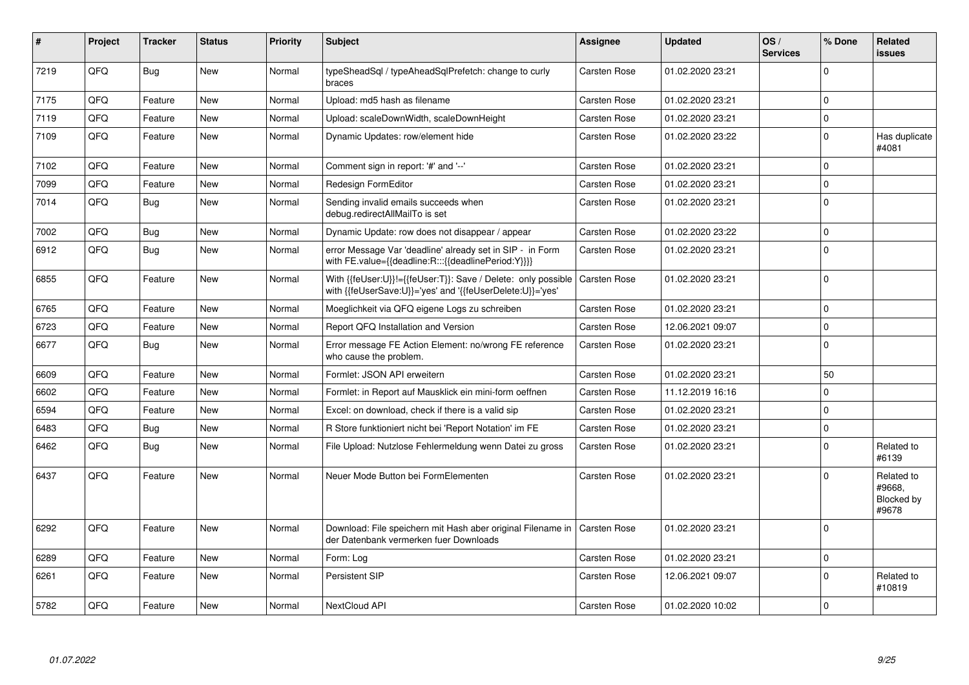| #    | Project | <b>Tracker</b> | <b>Status</b> | <b>Priority</b> | <b>Subject</b>                                                                                                             | Assignee            | <b>Updated</b>   | OS/<br><b>Services</b> | % Done      | Related<br><b>issues</b>                    |
|------|---------|----------------|---------------|-----------------|----------------------------------------------------------------------------------------------------------------------------|---------------------|------------------|------------------------|-------------|---------------------------------------------|
| 7219 | QFQ     | Bug            | New           | Normal          | typeSheadSql / typeAheadSqlPrefetch: change to curly<br>braces                                                             | Carsten Rose        | 01.02.2020 23:21 |                        | $\Omega$    |                                             |
| 7175 | QFQ     | Feature        | <b>New</b>    | Normal          | Upload: md5 hash as filename                                                                                               | Carsten Rose        | 01.02.2020 23:21 |                        | $\mathbf 0$ |                                             |
| 7119 | QFQ     | Feature        | New           | Normal          | Upload: scaleDownWidth, scaleDownHeight                                                                                    | Carsten Rose        | 01.02.2020 23:21 |                        | $\pmb{0}$   |                                             |
| 7109 | QFQ     | Feature        | New           | Normal          | Dynamic Updates: row/element hide                                                                                          | Carsten Rose        | 01.02.2020 23:22 |                        | $\Omega$    | Has duplicate<br>#4081                      |
| 7102 | QFQ     | Feature        | New           | Normal          | Comment sign in report: '#' and '--'                                                                                       | Carsten Rose        | 01.02.2020 23:21 |                        | $\Omega$    |                                             |
| 7099 | QFQ     | Feature        | New           | Normal          | <b>Redesign FormEditor</b>                                                                                                 | Carsten Rose        | 01.02.2020 23:21 |                        | $\mathbf 0$ |                                             |
| 7014 | QFQ     | <b>Bug</b>     | New           | Normal          | Sending invalid emails succeeds when<br>debug.redirectAllMailTo is set                                                     | Carsten Rose        | 01.02.2020 23:21 |                        | $\mathbf 0$ |                                             |
| 7002 | QFQ     | <b>Bug</b>     | <b>New</b>    | Normal          | Dynamic Update: row does not disappear / appear                                                                            | Carsten Rose        | 01.02.2020 23:22 |                        | $\Omega$    |                                             |
| 6912 | QFQ     | Bug            | New           | Normal          | error Message Var 'deadline' already set in SIP - in Form<br>with FE.value={{deadline:R:::{{deadlinePeriod:Y}}}}           | Carsten Rose        | 01.02.2020 23:21 |                        | $\mathbf 0$ |                                             |
| 6855 | QFQ     | Feature        | New           | Normal          | With {{feUser:U}}!={{feUser:T}}: Save / Delete: only possible<br>with {{feUserSave:U}}='yes' and '{{feUserDelete:U}}='yes' | Carsten Rose        | 01.02.2020 23:21 |                        | $\mathbf 0$ |                                             |
| 6765 | QFQ     | Feature        | <b>New</b>    | Normal          | Moeglichkeit via QFQ eigene Logs zu schreiben                                                                              | Carsten Rose        | 01.02.2020 23:21 |                        | $\mathbf 0$ |                                             |
| 6723 | QFQ     | Feature        | <b>New</b>    | Normal          | Report QFQ Installation and Version                                                                                        | Carsten Rose        | 12.06.2021 09:07 |                        | $\pmb{0}$   |                                             |
| 6677 | QFQ     | <b>Bug</b>     | New           | Normal          | Error message FE Action Element: no/wrong FE reference<br>who cause the problem.                                           | <b>Carsten Rose</b> | 01.02.2020 23:21 |                        | $\Omega$    |                                             |
| 6609 | QFQ     | Feature        | New           | Normal          | Formlet: JSON API erweitern                                                                                                | Carsten Rose        | 01.02.2020 23:21 |                        | 50          |                                             |
| 6602 | QFQ     | Feature        | New           | Normal          | Formlet: in Report auf Mausklick ein mini-form oeffnen                                                                     | Carsten Rose        | 11.12.2019 16:16 |                        | $\mathbf 0$ |                                             |
| 6594 | QFQ     | Feature        | New           | Normal          | Excel: on download, check if there is a valid sip                                                                          | Carsten Rose        | 01.02.2020 23:21 |                        | $\Omega$    |                                             |
| 6483 | QFQ     | <b>Bug</b>     | New           | Normal          | R Store funktioniert nicht bei 'Report Notation' im FE                                                                     | Carsten Rose        | 01.02.2020 23:21 |                        | $\mathbf 0$ |                                             |
| 6462 | QFQ     | Bug            | New           | Normal          | File Upload: Nutzlose Fehlermeldung wenn Datei zu gross                                                                    | Carsten Rose        | 01.02.2020 23:21 |                        | $\Omega$    | Related to<br>#6139                         |
| 6437 | QFQ     | Feature        | <b>New</b>    | Normal          | Neuer Mode Button bei FormElementen                                                                                        | Carsten Rose        | 01.02.2020 23:21 |                        | $\Omega$    | Related to<br>#9668.<br>Blocked by<br>#9678 |
| 6292 | QFQ     | Feature        | New           | Normal          | Download: File speichern mit Hash aber original Filename in<br>der Datenbank vermerken fuer Downloads                      | <b>Carsten Rose</b> | 01.02.2020 23:21 |                        | $\mathbf 0$ |                                             |
| 6289 | QFQ     | Feature        | <b>New</b>    | Normal          | Form: Log                                                                                                                  | Carsten Rose        | 01.02.2020 23:21 |                        | $\pmb{0}$   |                                             |
| 6261 | QFQ     | Feature        | New           | Normal          | Persistent SIP                                                                                                             | Carsten Rose        | 12.06.2021 09:07 |                        | $\Omega$    | Related to<br>#10819                        |
| 5782 | QFQ     | Feature        | New           | Normal          | NextCloud API                                                                                                              | <b>Carsten Rose</b> | 01.02.2020 10:02 |                        | $\mathbf 0$ |                                             |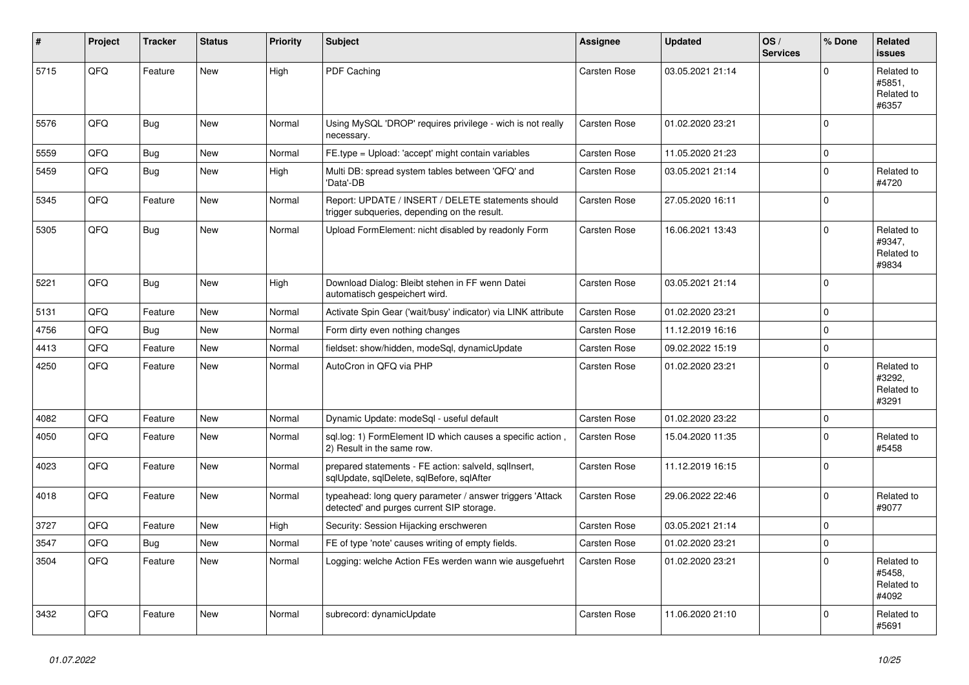| #    | Project | <b>Tracker</b> | <b>Status</b> | <b>Priority</b> | <b>Subject</b>                                                                                         | Assignee            | <b>Updated</b>   | OS/<br><b>Services</b> | % Done       | Related<br><b>issues</b>                    |
|------|---------|----------------|---------------|-----------------|--------------------------------------------------------------------------------------------------------|---------------------|------------------|------------------------|--------------|---------------------------------------------|
| 5715 | QFQ     | Feature        | <b>New</b>    | High            | PDF Caching                                                                                            | Carsten Rose        | 03.05.2021 21:14 |                        | $\Omega$     | Related to<br>#5851.<br>Related to<br>#6357 |
| 5576 | QFQ     | Bug            | <b>New</b>    | Normal          | Using MySQL 'DROP' requires privilege - wich is not really<br>necessary.                               | Carsten Rose        | 01.02.2020 23:21 |                        | $\mathbf 0$  |                                             |
| 5559 | QFQ     | <b>Bug</b>     | <b>New</b>    | Normal          | FE.type = Upload: 'accept' might contain variables                                                     | Carsten Rose        | 11.05.2020 21:23 |                        | $\mathbf 0$  |                                             |
| 5459 | QFQ     | Bug            | New           | High            | Multi DB: spread system tables between 'QFQ' and<br>'Data'-DB                                          | Carsten Rose        | 03.05.2021 21:14 |                        | $\mathbf 0$  | Related to<br>#4720                         |
| 5345 | QFQ     | Feature        | <b>New</b>    | Normal          | Report: UPDATE / INSERT / DELETE statements should<br>trigger subqueries, depending on the result.     | <b>Carsten Rose</b> | 27.05.2020 16:11 |                        | $\mathbf 0$  |                                             |
| 5305 | QFQ     | <b>Bug</b>     | <b>New</b>    | Normal          | Upload FormElement: nicht disabled by readonly Form                                                    | Carsten Rose        | 16.06.2021 13:43 |                        | $\Omega$     | Related to<br>#9347,<br>Related to<br>#9834 |
| 5221 | QFQ     | <b>Bug</b>     | <b>New</b>    | High            | Download Dialog: Bleibt stehen in FF wenn Datei<br>automatisch gespeichert wird.                       | Carsten Rose        | 03.05.2021 21:14 |                        | $\Omega$     |                                             |
| 5131 | QFQ     | Feature        | <b>New</b>    | Normal          | Activate Spin Gear ('wait/busy' indicator) via LINK attribute                                          | Carsten Rose        | 01.02.2020 23:21 |                        | $\mathbf{0}$ |                                             |
| 4756 | QFQ     | Bug            | <b>New</b>    | Normal          | Form dirty even nothing changes                                                                        | Carsten Rose        | 11.12.2019 16:16 |                        | $\mathbf 0$  |                                             |
| 4413 | QFQ     | Feature        | New           | Normal          | fieldset: show/hidden, modeSql, dynamicUpdate                                                          | <b>Carsten Rose</b> | 09.02.2022 15:19 |                        | $\Omega$     |                                             |
| 4250 | QFQ     | Feature        | New           | Normal          | AutoCron in QFQ via PHP                                                                                | Carsten Rose        | 01.02.2020 23:21 |                        | $\Omega$     | Related to<br>#3292,<br>Related to<br>#3291 |
| 4082 | QFQ     | Feature        | <b>New</b>    | Normal          | Dynamic Update: modeSql - useful default                                                               | Carsten Rose        | 01.02.2020 23:22 |                        | $\Omega$     |                                             |
| 4050 | QFQ     | Feature        | <b>New</b>    | Normal          | sgl.log: 1) FormElement ID which causes a specific action,<br>2) Result in the same row.               | Carsten Rose        | 15.04.2020 11:35 |                        | $\Omega$     | Related to<br>#5458                         |
| 4023 | QFQ     | Feature        | New           | Normal          | prepared statements - FE action: salveld, sqllnsert,<br>sqlUpdate, sqlDelete, sqlBefore, sqlAfter      | Carsten Rose        | 11.12.2019 16:15 |                        | $\Omega$     |                                             |
| 4018 | QFQ     | Feature        | <b>New</b>    | Normal          | typeahead: long query parameter / answer triggers 'Attack<br>detected' and purges current SIP storage. | Carsten Rose        | 29.06.2022 22:46 |                        | $\Omega$     | Related to<br>#9077                         |
| 3727 | QFQ     | Feature        | <b>New</b>    | High            | Security: Session Hijacking erschweren                                                                 | <b>Carsten Rose</b> | 03.05.2021 21:14 |                        | $\mathbf 0$  |                                             |
| 3547 | QFQ     | Bug            | <b>New</b>    | Normal          | FE of type 'note' causes writing of empty fields.                                                      | Carsten Rose        | 01.02.2020 23:21 |                        | $\mathbf 0$  |                                             |
| 3504 | QFQ     | Feature        | <b>New</b>    | Normal          | Logging: welche Action FEs werden wann wie ausgefuehrt                                                 | Carsten Rose        | 01.02.2020 23:21 |                        | $\mathbf 0$  | Related to<br>#5458.<br>Related to<br>#4092 |
| 3432 | QFQ     | Feature        | <b>New</b>    | Normal          | subrecord: dynamicUpdate                                                                               | <b>Carsten Rose</b> | 11.06.2020 21:10 |                        | $\Omega$     | Related to<br>#5691                         |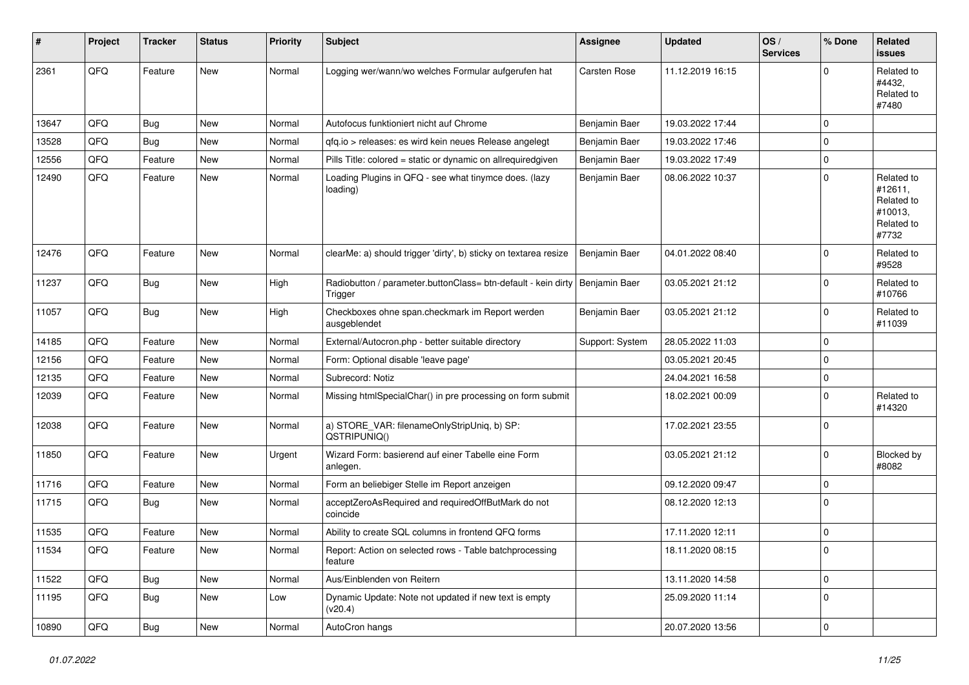| #     | Project | <b>Tracker</b> | <b>Status</b> | <b>Priority</b> | Subject                                                                  | <b>Assignee</b>     | <b>Updated</b>   | OS/<br><b>Services</b> | % Done         | Related<br><b>issues</b>                                              |
|-------|---------|----------------|---------------|-----------------|--------------------------------------------------------------------------|---------------------|------------------|------------------------|----------------|-----------------------------------------------------------------------|
| 2361  | QFQ     | Feature        | New           | Normal          | Logging wer/wann/wo welches Formular aufgerufen hat                      | <b>Carsten Rose</b> | 11.12.2019 16:15 |                        | 0              | Related to<br>#4432,<br>Related to<br>#7480                           |
| 13647 | QFQ     | Bug            | <b>New</b>    | Normal          | Autofocus funktioniert nicht auf Chrome                                  | Benjamin Baer       | 19.03.2022 17:44 |                        | 0              |                                                                       |
| 13528 | QFQ     | <b>Bug</b>     | New           | Normal          | gfg.io > releases: es wird kein neues Release angelegt                   | Benjamin Baer       | 19.03.2022 17:46 |                        | 0              |                                                                       |
| 12556 | QFQ     | Feature        | New           | Normal          | Pills Title: colored = static or dynamic on allrequiredgiven             | Benjamin Baer       | 19.03.2022 17:49 |                        | 0              |                                                                       |
| 12490 | QFQ     | Feature        | New           | Normal          | Loading Plugins in QFQ - see what tinymce does. (lazy<br>loading)        | Benjamin Baer       | 08.06.2022 10:37 |                        | $\mathbf{0}$   | Related to<br>#12611,<br>Related to<br>#10013,<br>Related to<br>#7732 |
| 12476 | QFQ     | Feature        | New           | Normal          | clearMe: a) should trigger 'dirty', b) sticky on textarea resize         | Benjamin Baer       | 04.01.2022 08:40 |                        | $\mathbf 0$    | Related to<br>#9528                                                   |
| 11237 | QFQ     | Bug            | New           | High            | Radiobutton / parameter.buttonClass= btn-default - kein dirty<br>Trigger | Benjamin Baer       | 03.05.2021 21:12 |                        | $\mathbf 0$    | Related to<br>#10766                                                  |
| 11057 | QFQ     | <b>Bug</b>     | New           | High            | Checkboxes ohne span.checkmark im Report werden<br>ausgeblendet          | Benjamin Baer       | 03.05.2021 21:12 |                        | 0              | Related to<br>#11039                                                  |
| 14185 | QFQ     | Feature        | New           | Normal          | External/Autocron.php - better suitable directory                        | Support: System     | 28.05.2022 11:03 |                        | $\mathbf 0$    |                                                                       |
| 12156 | QFQ     | Feature        | New           | Normal          | Form: Optional disable 'leave page'                                      |                     | 03.05.2021 20:45 |                        | 0              |                                                                       |
| 12135 | QFQ     | Feature        | New           | Normal          | Subrecord: Notiz                                                         |                     | 24.04.2021 16:58 |                        | 0              |                                                                       |
| 12039 | QFQ     | Feature        | New           | Normal          | Missing htmlSpecialChar() in pre processing on form submit               |                     | 18.02.2021 00:09 |                        | 0              | Related to<br>#14320                                                  |
| 12038 | QFQ     | Feature        | New           | Normal          | a) STORE_VAR: filenameOnlyStripUniq, b) SP:<br>QSTRIPUNIQ()              |                     | 17.02.2021 23:55 |                        | 0              |                                                                       |
| 11850 | QFQ     | Feature        | New           | Urgent          | Wizard Form: basierend auf einer Tabelle eine Form<br>anlegen.           |                     | 03.05.2021 21:12 |                        | $\mathbf 0$    | Blocked by<br>#8082                                                   |
| 11716 | QFQ     | Feature        | <b>New</b>    | Normal          | Form an beliebiger Stelle im Report anzeigen                             |                     | 09.12.2020 09:47 |                        | $\mathbf 0$    |                                                                       |
| 11715 | QFQ     | Bug            | New           | Normal          | acceptZeroAsRequired and requiredOffButMark do not<br>coincide           |                     | 08.12.2020 12:13 |                        | 0              |                                                                       |
| 11535 | QFQ     | Feature        | New           | Normal          | Ability to create SQL columns in frontend QFQ forms                      |                     | 17.11.2020 12:11 |                        | 0              |                                                                       |
| 11534 | QFQ     | Feature        | New           | Normal          | Report: Action on selected rows - Table batchprocessing<br>feature       |                     | 18.11.2020 08:15 |                        | U              |                                                                       |
| 11522 | QFQ     | Bug            | New           | Normal          | Aus/Einblenden von Reitern                                               |                     | 13.11.2020 14:58 |                        | $\overline{0}$ |                                                                       |
| 11195 | QFQ     | Bug            | New           | Low             | Dynamic Update: Note not updated if new text is empty<br>(v20.4)         |                     | 25.09.2020 11:14 |                        | $\mathbf 0$    |                                                                       |
| 10890 | QFQ     | <b>Bug</b>     | New           | Normal          | AutoCron hangs                                                           |                     | 20.07.2020 13:56 |                        | $\pmb{0}$      |                                                                       |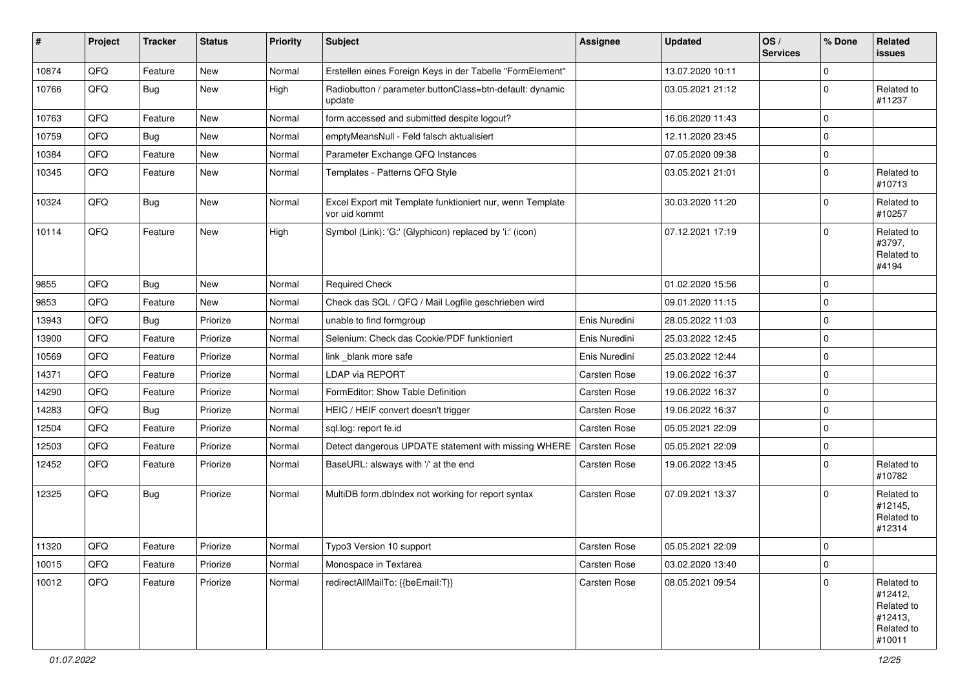| #     | Project | <b>Tracker</b> | <b>Status</b> | <b>Priority</b> | <b>Subject</b>                                                             | <b>Assignee</b>     | <b>Updated</b>   | OS/<br><b>Services</b> | % Done      | Related<br>issues                                                      |
|-------|---------|----------------|---------------|-----------------|----------------------------------------------------------------------------|---------------------|------------------|------------------------|-------------|------------------------------------------------------------------------|
| 10874 | QFQ     | Feature        | New           | Normal          | Erstellen eines Foreign Keys in der Tabelle "FormElement"                  |                     | 13.07.2020 10:11 |                        | $\Omega$    |                                                                        |
| 10766 | QFQ     | <b>Bug</b>     | New           | High            | Radiobutton / parameter.buttonClass=btn-default: dynamic<br>update         |                     | 03.05.2021 21:12 |                        | $\mathbf 0$ | Related to<br>#11237                                                   |
| 10763 | QFQ     | Feature        | New           | Normal          | form accessed and submitted despite logout?                                |                     | 16.06.2020 11:43 |                        | $\mathbf 0$ |                                                                        |
| 10759 | QFQ     | <b>Bug</b>     | New           | Normal          | emptyMeansNull - Feld falsch aktualisiert                                  |                     | 12.11.2020 23:45 |                        | $\mathbf 0$ |                                                                        |
| 10384 | QFQ     | Feature        | New           | Normal          | Parameter Exchange QFQ Instances                                           |                     | 07.05.2020 09:38 |                        | $\pmb{0}$   |                                                                        |
| 10345 | QFQ     | Feature        | New           | Normal          | Templates - Patterns QFQ Style                                             |                     | 03.05.2021 21:01 |                        | $\mathbf 0$ | Related to<br>#10713                                                   |
| 10324 | QFQ     | <b>Bug</b>     | New           | Normal          | Excel Export mit Template funktioniert nur, wenn Template<br>vor uid kommt |                     | 30.03.2020 11:20 |                        | $\mathbf 0$ | Related to<br>#10257                                                   |
| 10114 | QFQ     | Feature        | New           | High            | Symbol (Link): 'G:' (Glyphicon) replaced by 'i:' (icon)                    |                     | 07.12.2021 17:19 |                        | $\Omega$    | Related to<br>#3797,<br>Related to<br>#4194                            |
| 9855  | QFQ     | <b>Bug</b>     | New           | Normal          | <b>Required Check</b>                                                      |                     | 01.02.2020 15:56 |                        | $\mathbf 0$ |                                                                        |
| 9853  | QFQ     | Feature        | New           | Normal          | Check das SQL / QFQ / Mail Logfile geschrieben wird                        |                     | 09.01.2020 11:15 |                        | $\mathbf 0$ |                                                                        |
| 13943 | QFQ     | <b>Bug</b>     | Priorize      | Normal          | unable to find formgroup                                                   | Enis Nuredini       | 28.05.2022 11:03 |                        | $\mathbf 0$ |                                                                        |
| 13900 | QFQ     | Feature        | Priorize      | Normal          | Selenium: Check das Cookie/PDF funktioniert                                | Enis Nuredini       | 25.03.2022 12:45 |                        | $\mathbf 0$ |                                                                        |
| 10569 | QFQ     | Feature        | Priorize      | Normal          | link_blank more safe                                                       | Enis Nuredini       | 25.03.2022 12:44 |                        | $\mathbf 0$ |                                                                        |
| 14371 | QFQ     | Feature        | Priorize      | Normal          | LDAP via REPORT                                                            | Carsten Rose        | 19.06.2022 16:37 |                        | $\mathbf 0$ |                                                                        |
| 14290 | QFQ     | Feature        | Priorize      | Normal          | FormEditor: Show Table Definition                                          | <b>Carsten Rose</b> | 19.06.2022 16:37 |                        | $\pmb{0}$   |                                                                        |
| 14283 | QFQ     | <b>Bug</b>     | Priorize      | Normal          | HEIC / HEIF convert doesn't trigger                                        | Carsten Rose        | 19.06.2022 16:37 |                        | $\mathbf 0$ |                                                                        |
| 12504 | QFQ     | Feature        | Priorize      | Normal          | sql.log: report fe.id                                                      | <b>Carsten Rose</b> | 05.05.2021 22:09 |                        | $\mathbf 0$ |                                                                        |
| 12503 | QFQ     | Feature        | Priorize      | Normal          | Detect dangerous UPDATE statement with missing WHERE                       | Carsten Rose        | 05.05.2021 22:09 |                        | $\mathbf 0$ |                                                                        |
| 12452 | QFQ     | Feature        | Priorize      | Normal          | BaseURL: alsways with '/' at the end                                       | Carsten Rose        | 19.06.2022 13:45 |                        | $\mathbf 0$ | Related to<br>#10782                                                   |
| 12325 | QFQ     | Bug            | Priorize      | Normal          | MultiDB form.dblndex not working for report syntax                         | Carsten Rose        | 07.09.2021 13:37 |                        | $\Omega$    | Related to<br>#12145,<br>Related to<br>#12314                          |
| 11320 | QFQ     | Feature        | Priorize      | Normal          | Typo3 Version 10 support                                                   | Carsten Rose        | 05.05.2021 22:09 |                        | $\mathbf 0$ |                                                                        |
| 10015 | QFQ     | Feature        | Priorize      | Normal          | Monospace in Textarea                                                      | Carsten Rose        | 03.02.2020 13:40 |                        | $\mathbf 0$ |                                                                        |
| 10012 | QFQ     | Feature        | Priorize      | Normal          | redirectAllMailTo: {{beEmail:T}}                                           | Carsten Rose        | 08.05.2021 09:54 |                        | $\mathbf 0$ | Related to<br>#12412,<br>Related to<br>#12413,<br>Related to<br>#10011 |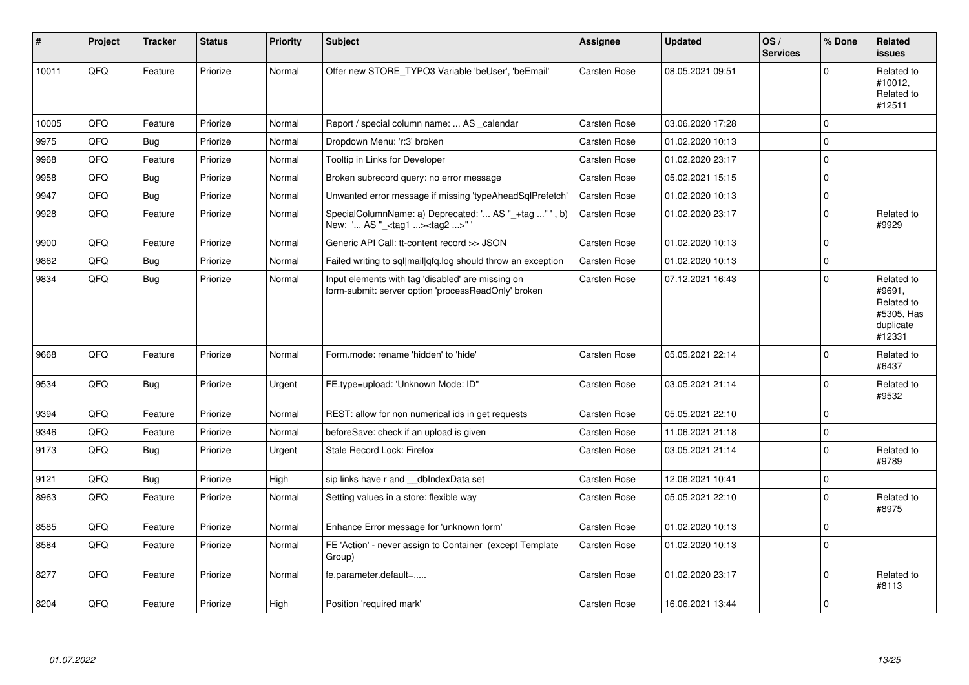| $\vert$ # | Project | <b>Tracker</b> | <b>Status</b> | <b>Priority</b> | <b>Subject</b>                                                                                           | <b>Assignee</b>     | <b>Updated</b>   | OS/<br><b>Services</b> | % Done      | Related<br><b>issues</b>                                                |
|-----------|---------|----------------|---------------|-----------------|----------------------------------------------------------------------------------------------------------|---------------------|------------------|------------------------|-------------|-------------------------------------------------------------------------|
| 10011     | QFQ     | Feature        | Priorize      | Normal          | Offer new STORE TYPO3 Variable 'beUser', 'beEmail'                                                       | <b>Carsten Rose</b> | 08.05.2021 09:51 |                        | $\Omega$    | Related to<br>#10012,<br>Related to<br>#12511                           |
| 10005     | QFQ     | Feature        | Priorize      | Normal          | Report / special column name:  AS _calendar                                                              | <b>Carsten Rose</b> | 03.06.2020 17:28 |                        | $\Omega$    |                                                                         |
| 9975      | QFQ     | Bug            | Priorize      | Normal          | Dropdown Menu: 'r:3' broken                                                                              | Carsten Rose        | 01.02.2020 10:13 |                        | $\Omega$    |                                                                         |
| 9968      | QFQ     | Feature        | Priorize      | Normal          | Tooltip in Links for Developer                                                                           | <b>Carsten Rose</b> | 01.02.2020 23:17 |                        | $\mathbf 0$ |                                                                         |
| 9958      | QFQ     | Bug            | Priorize      | Normal          | Broken subrecord query: no error message                                                                 | <b>Carsten Rose</b> | 05.02.2021 15:15 |                        | $\mathbf 0$ |                                                                         |
| 9947      | QFQ     | <b>Bug</b>     | Priorize      | Normal          | Unwanted error message if missing 'typeAheadSqlPrefetch'                                                 | <b>Carsten Rose</b> | 01.02.2020 10:13 |                        | $\Omega$    |                                                                         |
| 9928      | QFQ     | Feature        | Priorize      | Normal          | SpecialColumnName: a) Deprecated: ' AS "_+tag " ', b)<br>New: ' AS "_ <tag1><tag2>"</tag2></tag1>        | <b>Carsten Rose</b> | 01.02.2020 23:17 |                        | $\mathbf 0$ | Related to<br>#9929                                                     |
| 9900      | QFQ     | Feature        | Priorize      | Normal          | Generic API Call: tt-content record >> JSON                                                              | <b>Carsten Rose</b> | 01.02.2020 10:13 |                        | $\Omega$    |                                                                         |
| 9862      | QFQ     | <b>Bug</b>     | Priorize      | Normal          | Failed writing to sql mail qfq.log should throw an exception                                             | Carsten Rose        | 01.02.2020 10:13 |                        | $\mathbf 0$ |                                                                         |
| 9834      | QFQ     | Bug            | Priorize      | Normal          | Input elements with tag 'disabled' are missing on<br>form-submit: server option 'processReadOnly' broken | <b>Carsten Rose</b> | 07.12.2021 16:43 |                        | $\Omega$    | Related to<br>#9691,<br>Related to<br>#5305, Has<br>duplicate<br>#12331 |
| 9668      | QFQ     | Feature        | Priorize      | Normal          | Form.mode: rename 'hidden' to 'hide'                                                                     | <b>Carsten Rose</b> | 05.05.2021 22:14 |                        | $\mathbf 0$ | Related to<br>#6437                                                     |
| 9534      | QFQ     | <b>Bug</b>     | Priorize      | Urgent          | FE.type=upload: 'Unknown Mode: ID"                                                                       | <b>Carsten Rose</b> | 03.05.2021 21:14 |                        | $\Omega$    | Related to<br>#9532                                                     |
| 9394      | QFQ     | Feature        | Priorize      | Normal          | REST: allow for non numerical ids in get requests                                                        | <b>Carsten Rose</b> | 05.05.2021 22:10 |                        | $\Omega$    |                                                                         |
| 9346      | QFQ     | Feature        | Priorize      | Normal          | beforeSave: check if an upload is given                                                                  | <b>Carsten Rose</b> | 11.06.2021 21:18 |                        | $\mathbf 0$ |                                                                         |
| 9173      | QFQ     | Bug            | Priorize      | Urgent          | Stale Record Lock: Firefox                                                                               | Carsten Rose        | 03.05.2021 21:14 |                        | $\Omega$    | Related to<br>#9789                                                     |
| 9121      | QFQ     | <b>Bug</b>     | Priorize      | High            | sip links have r and __dbIndexData set                                                                   | <b>Carsten Rose</b> | 12.06.2021 10:41 |                        | $\Omega$    |                                                                         |
| 8963      | QFQ     | Feature        | Priorize      | Normal          | Setting values in a store: flexible way                                                                  | Carsten Rose        | 05.05.2021 22:10 |                        | $\mathbf 0$ | Related to<br>#8975                                                     |
| 8585      | QFQ     | Feature        | Priorize      | Normal          | Enhance Error message for 'unknown form'                                                                 | <b>Carsten Rose</b> | 01.02.2020 10:13 |                        | $\mathbf 0$ |                                                                         |
| 8584      | QFQ     | Feature        | Priorize      | Normal          | FE 'Action' - never assign to Container (except Template<br>Group)                                       | <b>Carsten Rose</b> | 01.02.2020 10:13 |                        | $\Omega$    |                                                                         |
| 8277      | QFQ     | Feature        | Priorize      | Normal          | fe.parameter.default=                                                                                    | <b>Carsten Rose</b> | 01.02.2020 23:17 |                        | $\mathbf 0$ | Related to<br>#8113                                                     |
| 8204      | QFQ     | Feature        | Priorize      | High            | Position 'required mark'                                                                                 | <b>Carsten Rose</b> | 16.06.2021 13:44 |                        | $\mathbf 0$ |                                                                         |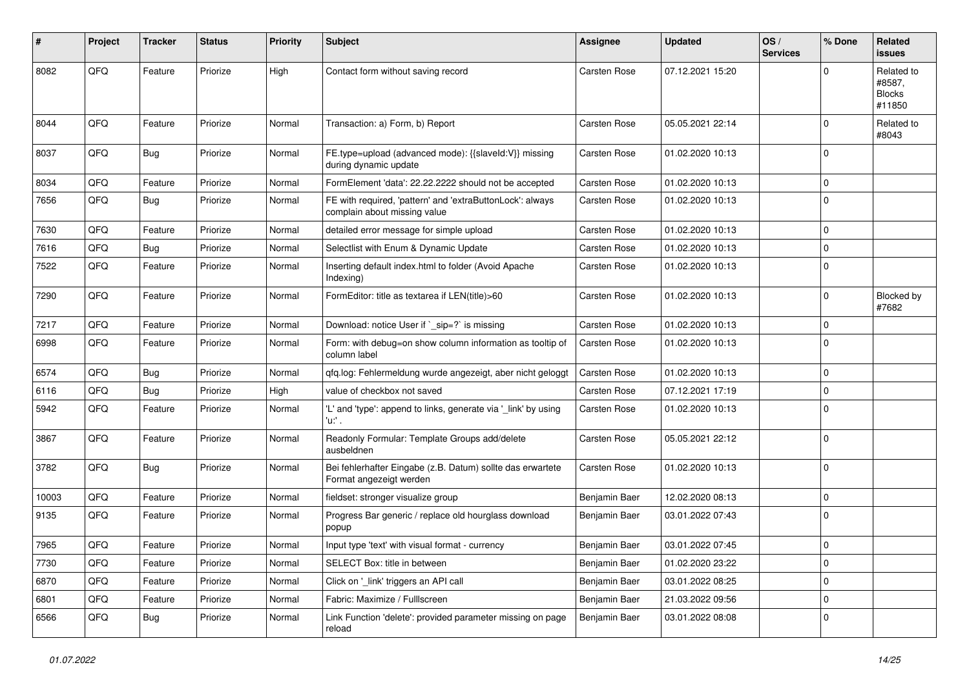| ∦     | Project | <b>Tracker</b> | <b>Status</b> | <b>Priority</b> | <b>Subject</b>                                                                            | Assignee      | <b>Updated</b>   | OS/<br><b>Services</b> | % Done      | Related<br>issues                               |
|-------|---------|----------------|---------------|-----------------|-------------------------------------------------------------------------------------------|---------------|------------------|------------------------|-------------|-------------------------------------------------|
| 8082  | QFQ     | Feature        | Priorize      | High            | Contact form without saving record                                                        | Carsten Rose  | 07.12.2021 15:20 |                        | $\Omega$    | Related to<br>#8587,<br><b>Blocks</b><br>#11850 |
| 8044  | QFQ     | Feature        | Priorize      | Normal          | Transaction: a) Form, b) Report                                                           | Carsten Rose  | 05.05.2021 22:14 |                        | $\mathbf 0$ | Related to<br>#8043                             |
| 8037  | QFQ     | <b>Bug</b>     | Priorize      | Normal          | FE.type=upload (advanced mode): {{slaveld:V}} missing<br>during dynamic update            | Carsten Rose  | 01.02.2020 10:13 |                        | $\mathbf 0$ |                                                 |
| 8034  | QFQ     | Feature        | Priorize      | Normal          | FormElement 'data': 22.22.2222 should not be accepted                                     | Carsten Rose  | 01.02.2020 10:13 |                        | $\mathbf 0$ |                                                 |
| 7656  | QFQ     | <b>Bug</b>     | Priorize      | Normal          | FE with required, 'pattern' and 'extraButtonLock': always<br>complain about missing value | Carsten Rose  | 01.02.2020 10:13 |                        | $\Omega$    |                                                 |
| 7630  | QFQ     | Feature        | Priorize      | Normal          | detailed error message for simple upload                                                  | Carsten Rose  | 01.02.2020 10:13 |                        | 0           |                                                 |
| 7616  | QFQ     | <b>Bug</b>     | Priorize      | Normal          | Selectlist with Enum & Dynamic Update                                                     | Carsten Rose  | 01.02.2020 10:13 |                        | $\mathbf 0$ |                                                 |
| 7522  | QFQ     | Feature        | Priorize      | Normal          | Inserting default index.html to folder (Avoid Apache<br>Indexing)                         | Carsten Rose  | 01.02.2020 10:13 |                        | $\mathbf 0$ |                                                 |
| 7290  | QFQ     | Feature        | Priorize      | Normal          | FormEditor: title as textarea if LEN(title)>60                                            | Carsten Rose  | 01.02.2020 10:13 |                        | 0           | Blocked by<br>#7682                             |
| 7217  | QFQ     | Feature        | Priorize      | Normal          | Download: notice User if ` sip=?` is missing                                              | Carsten Rose  | 01.02.2020 10:13 |                        | 0           |                                                 |
| 6998  | QFQ     | Feature        | Priorize      | Normal          | Form: with debug=on show column information as tooltip of<br>column label                 | Carsten Rose  | 01.02.2020 10:13 |                        | $\Omega$    |                                                 |
| 6574  | QFQ     | <b>Bug</b>     | Priorize      | Normal          | qfq.log: Fehlermeldung wurde angezeigt, aber nicht geloggt                                | Carsten Rose  | 01.02.2020 10:13 |                        | 0           |                                                 |
| 6116  | QFQ     | <b>Bug</b>     | Priorize      | High            | value of checkbox not saved                                                               | Carsten Rose  | 07.12.2021 17:19 |                        | $\mathbf 0$ |                                                 |
| 5942  | QFQ     | Feature        | Priorize      | Normal          | 'L' and 'type': append to links, generate via '_link' by using<br>'u.' .                  | Carsten Rose  | 01.02.2020 10:13 |                        | $\Omega$    |                                                 |
| 3867  | QFQ     | Feature        | Priorize      | Normal          | Readonly Formular: Template Groups add/delete<br>ausbeldnen                               | Carsten Rose  | 05.05.2021 22:12 |                        | $\Omega$    |                                                 |
| 3782  | QFQ     | Bug            | Priorize      | Normal          | Bei fehlerhafter Eingabe (z.B. Datum) sollte das erwartete<br>Format angezeigt werden     | Carsten Rose  | 01.02.2020 10:13 |                        | 0           |                                                 |
| 10003 | QFQ     | Feature        | Priorize      | Normal          | fieldset: stronger visualize group                                                        | Benjamin Baer | 12.02.2020 08:13 |                        | 0           |                                                 |
| 9135  | QFQ     | Feature        | Priorize      | Normal          | Progress Bar generic / replace old hourglass download<br>popup                            | Benjamin Baer | 03.01.2022 07:43 |                        | $\mathbf 0$ |                                                 |
| 7965  | QFQ     | Feature        | Priorize      | Normal          | Input type 'text' with visual format - currency                                           | Benjamin Baer | 03.01.2022 07:45 |                        | $\mathbf 0$ |                                                 |
| 7730  | QFQ     | Feature        | Priorize      | Normal          | SELECT Box: title in between                                                              | Benjamin Baer | 01.02.2020 23:22 |                        | $\mathbf 0$ |                                                 |
| 6870  | QFQ     | Feature        | Priorize      | Normal          | Click on ' link' triggers an API call                                                     | Benjamin Baer | 03.01.2022 08:25 |                        | 0           |                                                 |
| 6801  | QFQ     | Feature        | Priorize      | Normal          | Fabric: Maximize / FullIscreen                                                            | Benjamin Baer | 21.03.2022 09:56 |                        | 0           |                                                 |
| 6566  | QFQ     | Bug            | Priorize      | Normal          | Link Function 'delete': provided parameter missing on page<br>reload                      | Benjamin Baer | 03.01.2022 08:08 |                        | 0           |                                                 |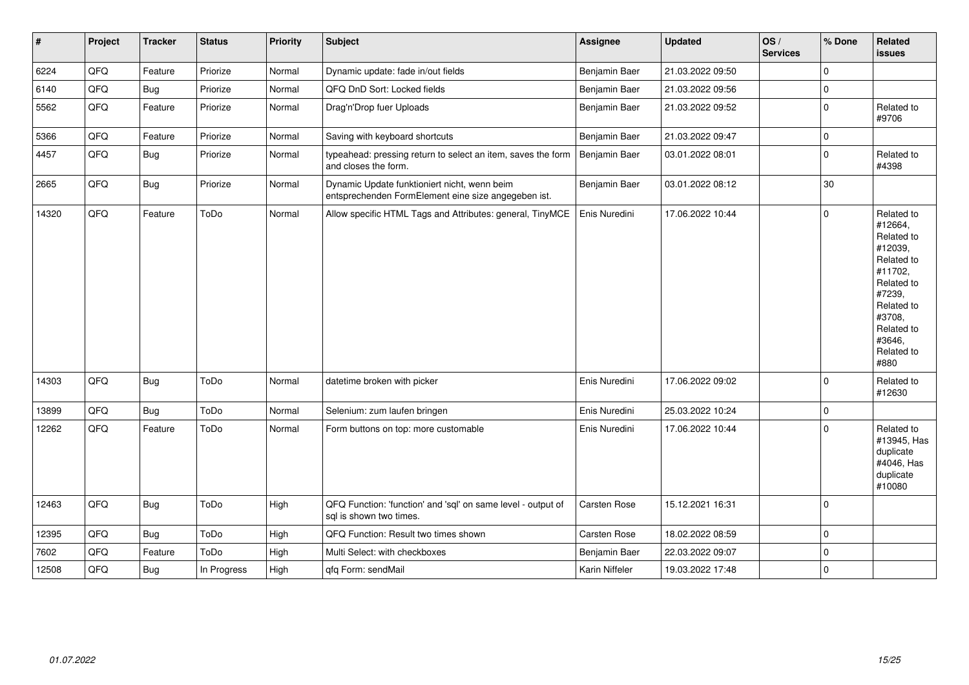| $\vert$ # | Project | <b>Tracker</b> | <b>Status</b> | <b>Priority</b> | <b>Subject</b>                                                                                      | Assignee            | <b>Updated</b>   | OS/<br><b>Services</b> | % Done      | Related<br><b>issues</b>                                                                                                                                              |
|-----------|---------|----------------|---------------|-----------------|-----------------------------------------------------------------------------------------------------|---------------------|------------------|------------------------|-------------|-----------------------------------------------------------------------------------------------------------------------------------------------------------------------|
| 6224      | QFQ     | Feature        | Priorize      | Normal          | Dynamic update: fade in/out fields                                                                  | Benjamin Baer       | 21.03.2022 09:50 |                        | $\mathbf 0$ |                                                                                                                                                                       |
| 6140      | QFQ     | Bug            | Priorize      | Normal          | QFQ DnD Sort: Locked fields                                                                         | Benjamin Baer       | 21.03.2022 09:56 |                        | $\mathbf 0$ |                                                                                                                                                                       |
| 5562      | QFQ     | Feature        | Priorize      | Normal          | Drag'n'Drop fuer Uploads                                                                            | Benjamin Baer       | 21.03.2022 09:52 |                        | $\mathbf 0$ | Related to<br>#9706                                                                                                                                                   |
| 5366      | QFQ     | Feature        | Priorize      | Normal          | Saving with keyboard shortcuts                                                                      | Benjamin Baer       | 21.03.2022 09:47 |                        | $\mathbf 0$ |                                                                                                                                                                       |
| 4457      | QFQ     | Bug            | Priorize      | Normal          | typeahead: pressing return to select an item, saves the form<br>and closes the form.                | Benjamin Baer       | 03.01.2022 08:01 |                        | $\mathbf 0$ | Related to<br>#4398                                                                                                                                                   |
| 2665      | QFQ     | <b>Bug</b>     | Priorize      | Normal          | Dynamic Update funktioniert nicht, wenn beim<br>entsprechenden FormElement eine size angegeben ist. | Benjamin Baer       | 03.01.2022 08:12 |                        | $30\,$      |                                                                                                                                                                       |
| 14320     | QFQ     | Feature        | ToDo          | Normal          | Allow specific HTML Tags and Attributes: general, TinyMCE                                           | Enis Nuredini       | 17.06.2022 10:44 |                        | $\mathbf 0$ | Related to<br>#12664,<br>Related to<br>#12039,<br>Related to<br>#11702,<br>Related to<br>#7239,<br>Related to<br>#3708,<br>Related to<br>#3646,<br>Related to<br>#880 |
| 14303     | QFQ     | <b>Bug</b>     | ToDo          | Normal          | datetime broken with picker                                                                         | Enis Nuredini       | 17.06.2022 09:02 |                        | $\mathbf 0$ | Related to<br>#12630                                                                                                                                                  |
| 13899     | QFQ     | Bug            | ToDo          | Normal          | Selenium: zum laufen bringen                                                                        | Enis Nuredini       | 25.03.2022 10:24 |                        | $\mathbf 0$ |                                                                                                                                                                       |
| 12262     | QFQ     | Feature        | ToDo          | Normal          | Form buttons on top: more customable                                                                | Enis Nuredini       | 17.06.2022 10:44 |                        | $\mathbf 0$ | Related to<br>#13945, Has<br>duplicate<br>#4046, Has<br>duplicate<br>#10080                                                                                           |
| 12463     | QFQ     | <b>Bug</b>     | ToDo          | High            | QFQ Function: 'function' and 'sql' on same level - output of<br>sal is shown two times.             | <b>Carsten Rose</b> | 15.12.2021 16:31 |                        | $\mathbf 0$ |                                                                                                                                                                       |
| 12395     | QFQ     | <b>Bug</b>     | ToDo          | High            | QFQ Function: Result two times shown                                                                | Carsten Rose        | 18.02.2022 08:59 |                        | $\mathbf 0$ |                                                                                                                                                                       |
| 7602      | QFQ     | Feature        | ToDo          | High            | Multi Select: with checkboxes                                                                       | Benjamin Baer       | 22.03.2022 09:07 |                        | $\mathbf 0$ |                                                                                                                                                                       |
| 12508     | QFQ     | Bug            | In Progress   | High            | qfq Form: sendMail                                                                                  | Karin Niffeler      | 19.03.2022 17:48 |                        | $\mathbf 0$ |                                                                                                                                                                       |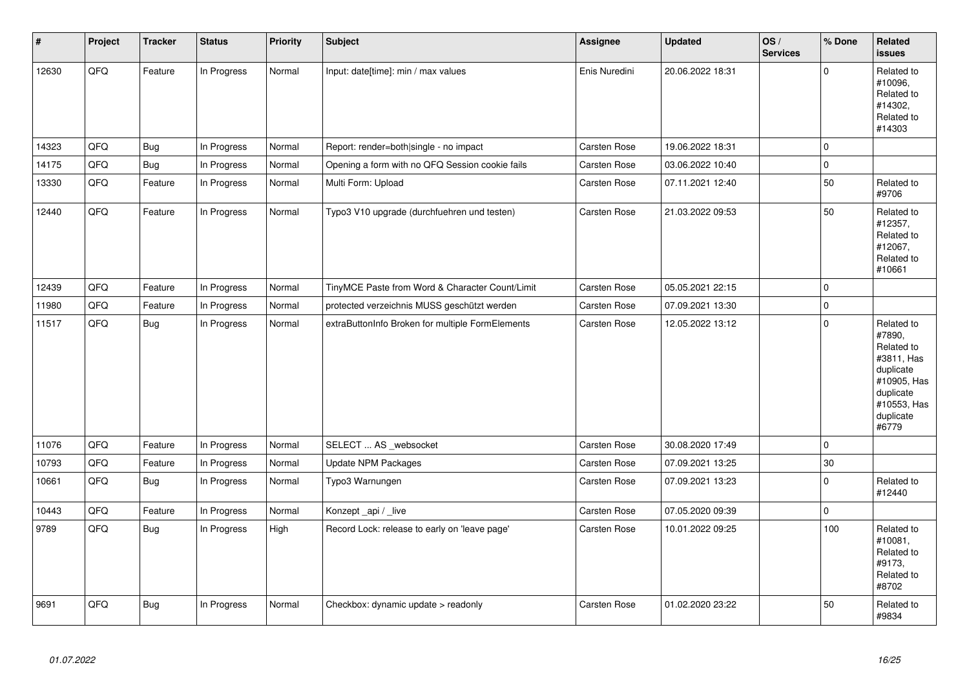| $\#$  | Project | <b>Tracker</b> | <b>Status</b> | <b>Priority</b> | <b>Subject</b>                                   | <b>Assignee</b>     | <b>Updated</b>   | OS/<br><b>Services</b> | % Done      | Related<br><b>issues</b>                                                                                                       |
|-------|---------|----------------|---------------|-----------------|--------------------------------------------------|---------------------|------------------|------------------------|-------------|--------------------------------------------------------------------------------------------------------------------------------|
| 12630 | QFQ     | Feature        | In Progress   | Normal          | Input: date[time]: min / max values              | Enis Nuredini       | 20.06.2022 18:31 |                        | $\mathbf 0$ | Related to<br>#10096.<br>Related to<br>#14302.<br>Related to<br>#14303                                                         |
| 14323 | QFQ     | <b>Bug</b>     | In Progress   | Normal          | Report: render=both single - no impact           | <b>Carsten Rose</b> | 19.06.2022 18:31 |                        | 0           |                                                                                                                                |
| 14175 | QFQ     | Bug            | In Progress   | Normal          | Opening a form with no QFQ Session cookie fails  | Carsten Rose        | 03.06.2022 10:40 |                        | $\mathbf 0$ |                                                                                                                                |
| 13330 | QFQ     | Feature        | In Progress   | Normal          | Multi Form: Upload                               | Carsten Rose        | 07.11.2021 12:40 |                        | 50          | Related to<br>#9706                                                                                                            |
| 12440 | QFQ     | Feature        | In Progress   | Normal          | Typo3 V10 upgrade (durchfuehren und testen)      | Carsten Rose        | 21.03.2022 09:53 |                        | 50          | Related to<br>#12357,<br>Related to<br>#12067,<br>Related to<br>#10661                                                         |
| 12439 | QFQ     | Feature        | In Progress   | Normal          | TinyMCE Paste from Word & Character Count/Limit  | Carsten Rose        | 05.05.2021 22:15 |                        | $\mathbf 0$ |                                                                                                                                |
| 11980 | QFQ     | Feature        | In Progress   | Normal          | protected verzeichnis MUSS geschützt werden      | Carsten Rose        | 07.09.2021 13:30 |                        | $\mathbf 0$ |                                                                                                                                |
| 11517 | QFQ     | Bug            | In Progress   | Normal          | extraButtonInfo Broken for multiple FormElements | Carsten Rose        | 12.05.2022 13:12 |                        | $\mathbf 0$ | Related to<br>#7890,<br>Related to<br>#3811, Has<br>duplicate<br>#10905, Has<br>duplicate<br>#10553, Has<br>duplicate<br>#6779 |
| 11076 | QFQ     | Feature        | In Progress   | Normal          | SELECT  AS _websocket                            | Carsten Rose        | 30.08.2020 17:49 |                        | $\Omega$    |                                                                                                                                |
| 10793 | QFQ     | Feature        | In Progress   | Normal          | <b>Update NPM Packages</b>                       | Carsten Rose        | 07.09.2021 13:25 |                        | 30          |                                                                                                                                |
| 10661 | QFQ     | <b>Bug</b>     | In Progress   | Normal          | Typo3 Warnungen                                  | Carsten Rose        | 07.09.2021 13:23 |                        | $\mathbf 0$ | Related to<br>#12440                                                                                                           |
| 10443 | QFQ     | Feature        | In Progress   | Normal          | Konzept_api / _live                              | Carsten Rose        | 07.05.2020 09:39 |                        | $\pmb{0}$   |                                                                                                                                |
| 9789  | QFQ     | Bug            | In Progress   | High            | Record Lock: release to early on 'leave page'    | Carsten Rose        | 10.01.2022 09:25 |                        | 100         | Related to<br>#10081,<br>Related to<br>#9173,<br>Related to<br>#8702                                                           |
| 9691  | QFQ     | <b>Bug</b>     | In Progress   | Normal          | Checkbox: dynamic update > readonly              | <b>Carsten Rose</b> | 01.02.2020 23:22 |                        | 50          | Related to<br>#9834                                                                                                            |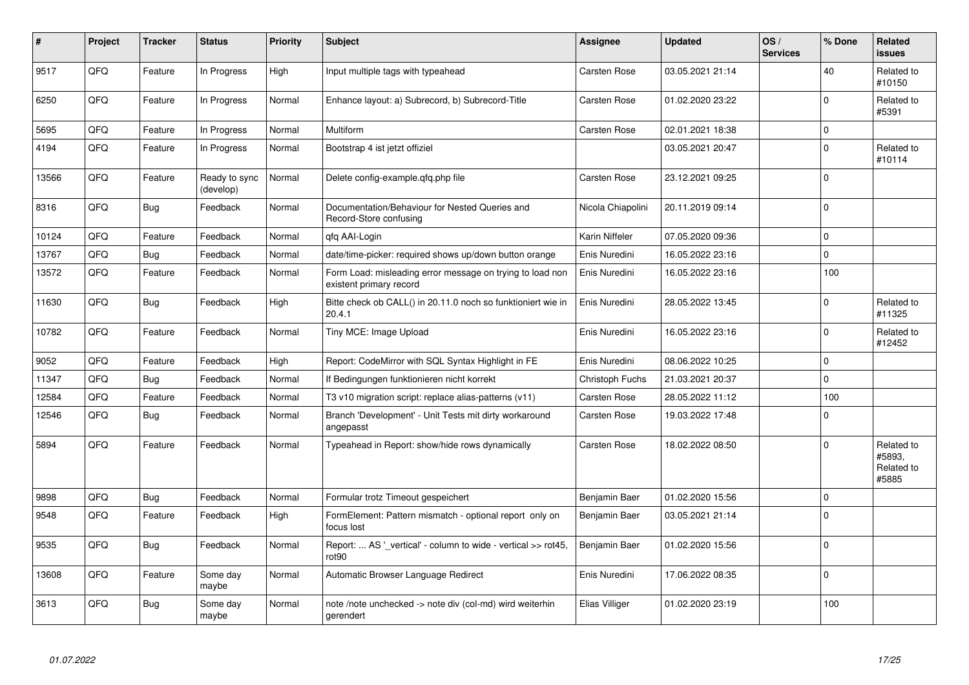| #     | Project | <b>Tracker</b> | <b>Status</b>              | <b>Priority</b> | <b>Subject</b>                                                                       | <b>Assignee</b>       | <b>Updated</b>   | OS/<br><b>Services</b> | % Done      | Related<br><b>issues</b>                    |
|-------|---------|----------------|----------------------------|-----------------|--------------------------------------------------------------------------------------|-----------------------|------------------|------------------------|-------------|---------------------------------------------|
| 9517  | QFQ     | Feature        | In Progress                | High            | Input multiple tags with typeahead                                                   | <b>Carsten Rose</b>   | 03.05.2021 21:14 |                        | 40          | Related to<br>#10150                        |
| 6250  | QFQ     | Feature        | In Progress                | Normal          | Enhance layout: a) Subrecord, b) Subrecord-Title                                     | Carsten Rose          | 01.02.2020 23:22 |                        | $\Omega$    | Related to<br>#5391                         |
| 5695  | QFQ     | Feature        | In Progress                | Normal          | Multiform                                                                            | <b>Carsten Rose</b>   | 02.01.2021 18:38 |                        | $\mathbf 0$ |                                             |
| 4194  | QFQ     | Feature        | In Progress                | Normal          | Bootstrap 4 ist jetzt offiziel                                                       |                       | 03.05.2021 20:47 |                        | $\mathbf 0$ | Related to<br>#10114                        |
| 13566 | QFQ     | Feature        | Ready to sync<br>(develop) | Normal          | Delete config-example.qfq.php file                                                   | Carsten Rose          | 23.12.2021 09:25 |                        | $\mathbf 0$ |                                             |
| 8316  | QFQ     | <b>Bug</b>     | Feedback                   | Normal          | Documentation/Behaviour for Nested Queries and<br>Record-Store confusing             | Nicola Chiapolini     | 20.11.2019 09:14 |                        | $\Omega$    |                                             |
| 10124 | QFQ     | Feature        | Feedback                   | Normal          | qfq AAI-Login                                                                        | <b>Karin Niffeler</b> | 07.05.2020 09:36 |                        | $\Omega$    |                                             |
| 13767 | QFQ     | <b>Bug</b>     | Feedback                   | Normal          | date/time-picker: required shows up/down button orange                               | Enis Nuredini         | 16.05.2022 23:16 |                        | $\mathbf 0$ |                                             |
| 13572 | QFQ     | Feature        | Feedback                   | Normal          | Form Load: misleading error message on trying to load non<br>existent primary record | Enis Nuredini         | 16.05.2022 23:16 |                        | 100         |                                             |
| 11630 | QFQ     | Bug            | Feedback                   | High            | Bitte check ob CALL() in 20.11.0 noch so funktioniert wie in<br>20.4.1               | Enis Nuredini         | 28.05.2022 13:45 |                        | $\Omega$    | Related to<br>#11325                        |
| 10782 | QFQ     | Feature        | Feedback                   | Normal          | Tiny MCE: Image Upload                                                               | Enis Nuredini         | 16.05.2022 23:16 |                        | $\mathbf 0$ | Related to<br>#12452                        |
| 9052  | QFQ     | Feature        | Feedback                   | High            | Report: CodeMirror with SQL Syntax Highlight in FE                                   | Enis Nuredini         | 08.06.2022 10:25 |                        | $\mathbf 0$ |                                             |
| 11347 | QFQ     | <b>Bug</b>     | Feedback                   | Normal          | If Bedingungen funktionieren nicht korrekt                                           | Christoph Fuchs       | 21.03.2021 20:37 |                        | $\Omega$    |                                             |
| 12584 | QFQ     | Feature        | Feedback                   | Normal          | T3 v10 migration script: replace alias-patterns (v11)                                | Carsten Rose          | 28.05.2022 11:12 |                        | 100         |                                             |
| 12546 | QFQ     | <b>Bug</b>     | Feedback                   | Normal          | Branch 'Development' - Unit Tests mit dirty workaround<br>angepasst                  | Carsten Rose          | 19.03.2022 17:48 |                        | $\mathbf 0$ |                                             |
| 5894  | QFQ     | Feature        | Feedback                   | Normal          | Typeahead in Report: show/hide rows dynamically                                      | <b>Carsten Rose</b>   | 18.02.2022 08:50 |                        | $\Omega$    | Related to<br>#5893,<br>Related to<br>#5885 |
| 9898  | QFQ     | Bug            | Feedback                   | Normal          | Formular trotz Timeout gespeichert                                                   | Benjamin Baer         | 01.02.2020 15:56 |                        | $\mathbf 0$ |                                             |
| 9548  | QFQ     | Feature        | Feedback                   | High            | FormElement: Pattern mismatch - optional report only on<br>focus lost                | Benjamin Baer         | 03.05.2021 21:14 |                        | $\Omega$    |                                             |
| 9535  | QFQ     | <b>Bug</b>     | Feedback                   | Normal          | Report:  AS '_vertical' - column to wide - vertical >> rot45,<br>rot90               | Benjamin Baer         | 01.02.2020 15:56 |                        | $\Omega$    |                                             |
| 13608 | QFQ     | Feature        | Some day<br>maybe          | Normal          | Automatic Browser Language Redirect                                                  | Enis Nuredini         | 17.06.2022 08:35 |                        | $\mathbf 0$ |                                             |
| 3613  | QFQ     | Bug            | Some day<br>maybe          | Normal          | note /note unchecked -> note div (col-md) wird weiterhin<br>gerendert                | Elias Villiger        | 01.02.2020 23:19 |                        | 100         |                                             |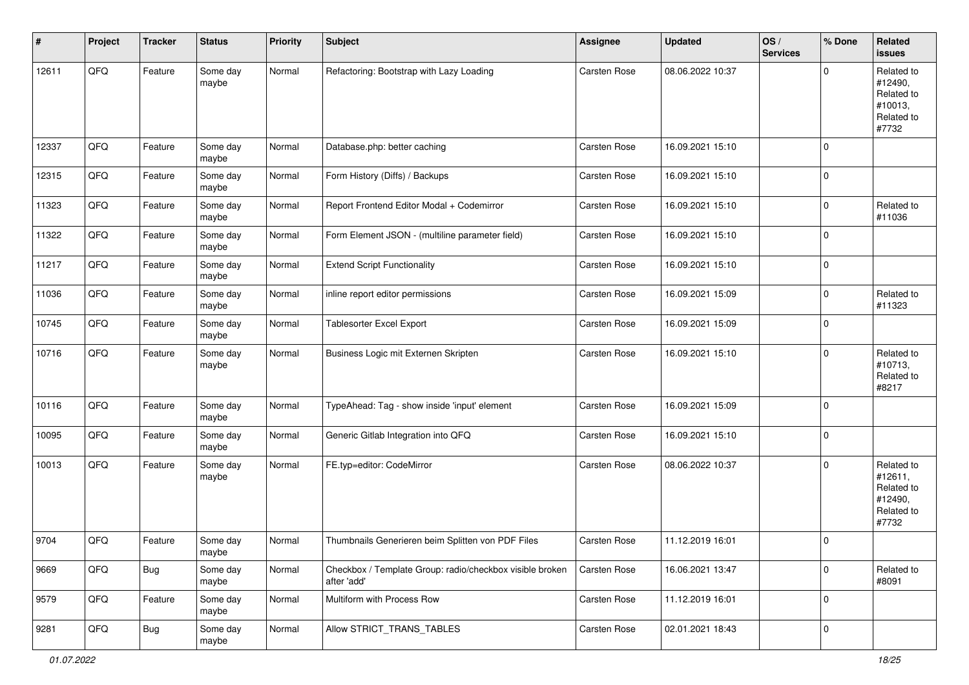| $\sharp$ | Project | <b>Tracker</b> | <b>Status</b>     | <b>Priority</b> | <b>Subject</b>                                                          | <b>Assignee</b> | <b>Updated</b>   | OS/<br><b>Services</b> | % Done      | Related<br><b>issues</b>                                              |
|----------|---------|----------------|-------------------|-----------------|-------------------------------------------------------------------------|-----------------|------------------|------------------------|-------------|-----------------------------------------------------------------------|
| 12611    | QFQ     | Feature        | Some day<br>maybe | Normal          | Refactoring: Bootstrap with Lazy Loading                                | Carsten Rose    | 08.06.2022 10:37 |                        | $\Omega$    | Related to<br>#12490,<br>Related to<br>#10013,<br>Related to<br>#7732 |
| 12337    | QFQ     | Feature        | Some day<br>maybe | Normal          | Database.php: better caching                                            | Carsten Rose    | 16.09.2021 15:10 |                        | $\mathbf 0$ |                                                                       |
| 12315    | QFQ     | Feature        | Some day<br>maybe | Normal          | Form History (Diffs) / Backups                                          | Carsten Rose    | 16.09.2021 15:10 |                        | $\mathbf 0$ |                                                                       |
| 11323    | QFQ     | Feature        | Some day<br>maybe | Normal          | Report Frontend Editor Modal + Codemirror                               | Carsten Rose    | 16.09.2021 15:10 |                        | $\mathbf 0$ | Related to<br>#11036                                                  |
| 11322    | QFQ     | Feature        | Some day<br>maybe | Normal          | Form Element JSON - (multiline parameter field)                         | Carsten Rose    | 16.09.2021 15:10 |                        | $\mathbf 0$ |                                                                       |
| 11217    | QFQ     | Feature        | Some day<br>maybe | Normal          | <b>Extend Script Functionality</b>                                      | Carsten Rose    | 16.09.2021 15:10 |                        | $\pmb{0}$   |                                                                       |
| 11036    | QFQ     | Feature        | Some day<br>maybe | Normal          | inline report editor permissions                                        | Carsten Rose    | 16.09.2021 15:09 |                        | $\mathbf 0$ | Related to<br>#11323                                                  |
| 10745    | QFQ     | Feature        | Some day<br>maybe | Normal          | Tablesorter Excel Export                                                | Carsten Rose    | 16.09.2021 15:09 |                        | $\mathbf 0$ |                                                                       |
| 10716    | QFQ     | Feature        | Some day<br>maybe | Normal          | Business Logic mit Externen Skripten                                    | Carsten Rose    | 16.09.2021 15:10 |                        | $\Omega$    | Related to<br>#10713,<br>Related to<br>#8217                          |
| 10116    | QFQ     | Feature        | Some day<br>maybe | Normal          | TypeAhead: Tag - show inside 'input' element                            | Carsten Rose    | 16.09.2021 15:09 |                        | $\mathbf 0$ |                                                                       |
| 10095    | QFQ     | Feature        | Some day<br>maybe | Normal          | Generic Gitlab Integration into QFQ                                     | Carsten Rose    | 16.09.2021 15:10 |                        | $\mathbf 0$ |                                                                       |
| 10013    | QFQ     | Feature        | Some day<br>maybe | Normal          | FE.typ=editor: CodeMirror                                               | Carsten Rose    | 08.06.2022 10:37 |                        | $\Omega$    | Related to<br>#12611,<br>Related to<br>#12490,<br>Related to<br>#7732 |
| 9704     | QFQ     | Feature        | Some day<br>maybe | Normal          | Thumbnails Generieren beim Splitten von PDF Files                       | Carsten Rose    | 11.12.2019 16:01 |                        | $\mathbf 0$ |                                                                       |
| 9669     | QFQ     | <b>Bug</b>     | Some day<br>maybe | Normal          | Checkbox / Template Group: radio/checkbox visible broken<br>after 'add' | Carsten Rose    | 16.06.2021 13:47 |                        | $\mathbf 0$ | Related to<br>#8091                                                   |
| 9579     | QFQ     | Feature        | Some day<br>maybe | Normal          | Multiform with Process Row                                              | Carsten Rose    | 11.12.2019 16:01 |                        | 0           |                                                                       |
| 9281     | QFQ     | <b>Bug</b>     | Some day<br>maybe | Normal          | Allow STRICT_TRANS_TABLES                                               | Carsten Rose    | 02.01.2021 18:43 |                        | $\mathbf 0$ |                                                                       |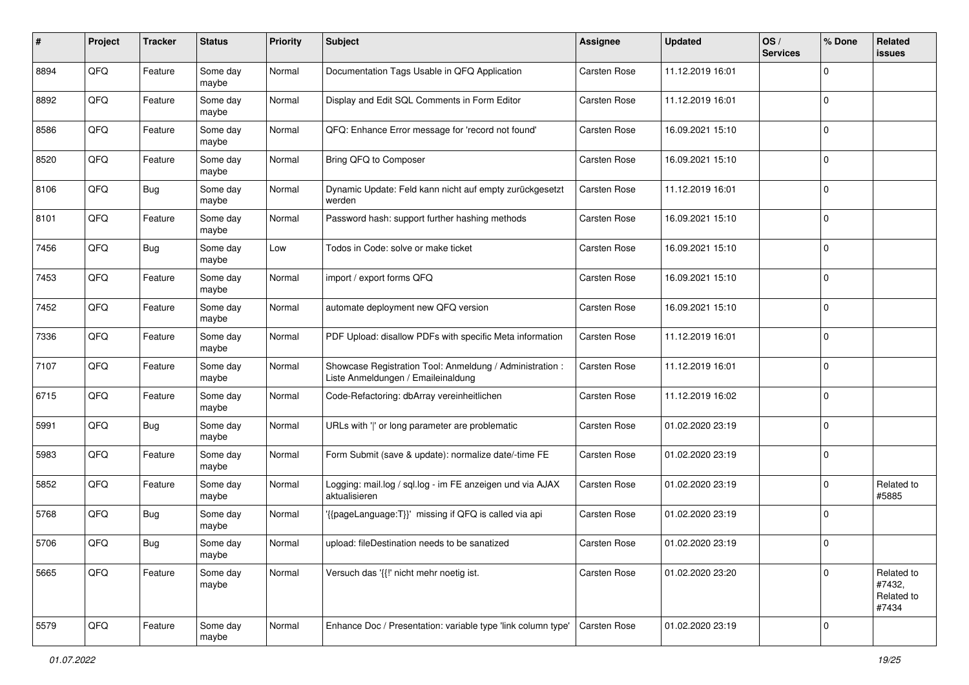| #    | Project | <b>Tracker</b> | <b>Status</b>     | <b>Priority</b> | <b>Subject</b>                                                                                 | Assignee            | <b>Updated</b>   | OS/<br><b>Services</b> | % Done      | Related<br>issues                           |
|------|---------|----------------|-------------------|-----------------|------------------------------------------------------------------------------------------------|---------------------|------------------|------------------------|-------------|---------------------------------------------|
| 8894 | QFQ     | Feature        | Some day<br>maybe | Normal          | Documentation Tags Usable in QFQ Application                                                   | Carsten Rose        | 11.12.2019 16:01 |                        | $\Omega$    |                                             |
| 8892 | QFQ     | Feature        | Some day<br>maybe | Normal          | Display and Edit SQL Comments in Form Editor                                                   | <b>Carsten Rose</b> | 11.12.2019 16:01 |                        | $\mathbf 0$ |                                             |
| 8586 | QFQ     | Feature        | Some day<br>maybe | Normal          | QFQ: Enhance Error message for 'record not found'                                              | Carsten Rose        | 16.09.2021 15:10 |                        | $\Omega$    |                                             |
| 8520 | QFQ     | Feature        | Some day<br>maybe | Normal          | Bring QFQ to Composer                                                                          | Carsten Rose        | 16.09.2021 15:10 |                        | $\Omega$    |                                             |
| 8106 | QFQ     | <b>Bug</b>     | Some day<br>maybe | Normal          | Dynamic Update: Feld kann nicht auf empty zurückgesetzt<br>werden                              | Carsten Rose        | 11.12.2019 16:01 |                        | $\Omega$    |                                             |
| 8101 | QFQ     | Feature        | Some day<br>maybe | Normal          | Password hash: support further hashing methods                                                 | Carsten Rose        | 16.09.2021 15:10 |                        | $\Omega$    |                                             |
| 7456 | QFQ     | <b>Bug</b>     | Some day<br>maybe | Low             | Todos in Code: solve or make ticket                                                            | <b>Carsten Rose</b> | 16.09.2021 15:10 |                        | $\Omega$    |                                             |
| 7453 | QFQ     | Feature        | Some day<br>maybe | Normal          | import / export forms QFQ                                                                      | Carsten Rose        | 16.09.2021 15:10 |                        | $\Omega$    |                                             |
| 7452 | QFQ     | Feature        | Some day<br>maybe | Normal          | automate deployment new QFQ version                                                            | Carsten Rose        | 16.09.2021 15:10 |                        | $\mathbf 0$ |                                             |
| 7336 | QFQ     | Feature        | Some day<br>maybe | Normal          | PDF Upload: disallow PDFs with specific Meta information                                       | Carsten Rose        | 11.12.2019 16:01 |                        | $\Omega$    |                                             |
| 7107 | QFQ     | Feature        | Some day<br>maybe | Normal          | Showcase Registration Tool: Anmeldung / Administration :<br>Liste Anmeldungen / Emaileinaldung | Carsten Rose        | 11.12.2019 16:01 |                        | $\Omega$    |                                             |
| 6715 | QFQ     | Feature        | Some day<br>maybe | Normal          | Code-Refactoring: dbArray vereinheitlichen                                                     | Carsten Rose        | 11.12.2019 16:02 |                        | $\Omega$    |                                             |
| 5991 | QFQ     | <b>Bug</b>     | Some day<br>maybe | Normal          | URLs with ' ' or long parameter are problematic                                                | Carsten Rose        | 01.02.2020 23:19 |                        | $\Omega$    |                                             |
| 5983 | QFQ     | Feature        | Some day<br>maybe | Normal          | Form Submit (save & update): normalize date/-time FE                                           | <b>Carsten Rose</b> | 01.02.2020 23:19 |                        | $\Omega$    |                                             |
| 5852 | QFQ     | Feature        | Some day<br>maybe | Normal          | Logging: mail.log / sql.log - im FE anzeigen und via AJAX<br>aktualisieren                     | Carsten Rose        | 01.02.2020 23:19 |                        | $\Omega$    | Related to<br>#5885                         |
| 5768 | QFQ     | <b>Bug</b>     | Some day<br>maybe | Normal          | '{{pageLanguage:T}}' missing if QFQ is called via api                                          | Carsten Rose        | 01.02.2020 23:19 |                        | $\Omega$    |                                             |
| 5706 | QFQ     | <b>Bug</b>     | Some day<br>maybe | Normal          | upload: fileDestination needs to be sanatized                                                  | <b>Carsten Rose</b> | 01.02.2020 23:19 |                        | $\mathbf 0$ |                                             |
| 5665 | QFQ     | Feature        | Some day<br>maybe | Normal          | Versuch das '{{!' nicht mehr noetig ist.                                                       | Carsten Rose        | 01.02.2020 23:20 |                        | $\Omega$    | Related to<br>#7432,<br>Related to<br>#7434 |
| 5579 | QFG     | Feature        | Some day<br>maybe | Normal          | Enhance Doc / Presentation: variable type 'link column type'                                   | Carsten Rose        | 01.02.2020 23:19 |                        | $\mathbf 0$ |                                             |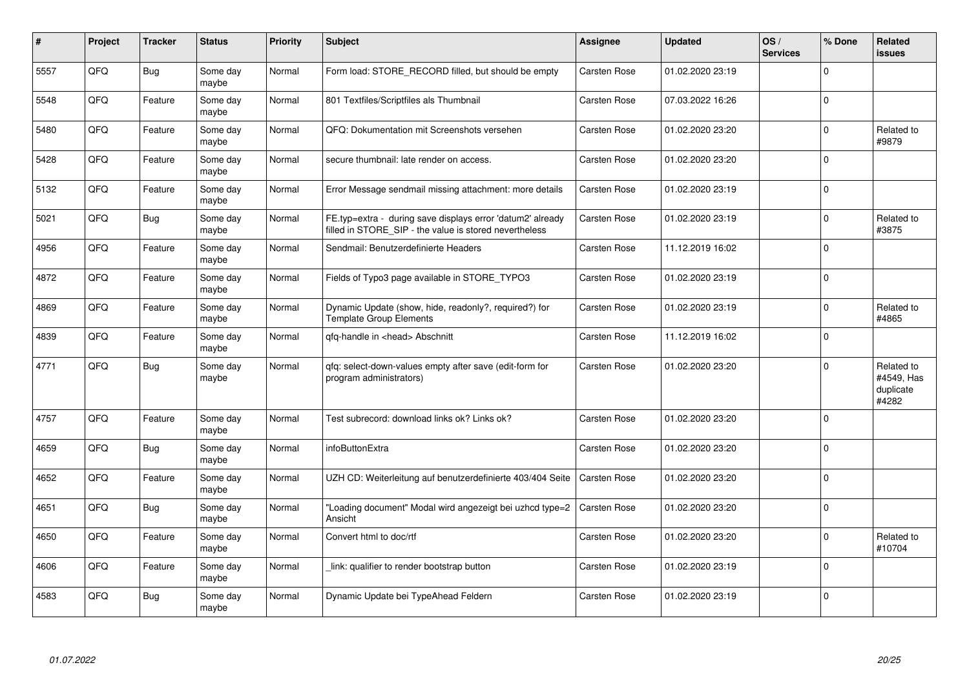| ∦    | Project | <b>Tracker</b> | <b>Status</b>     | <b>Priority</b> | <b>Subject</b>                                                                                                       | <b>Assignee</b>     | <b>Updated</b>   | OS/<br><b>Services</b> | % Done      | Related<br>issues                              |
|------|---------|----------------|-------------------|-----------------|----------------------------------------------------------------------------------------------------------------------|---------------------|------------------|------------------------|-------------|------------------------------------------------|
| 5557 | QFQ     | <b>Bug</b>     | Some day<br>maybe | Normal          | Form load: STORE RECORD filled, but should be empty                                                                  | Carsten Rose        | 01.02.2020 23:19 |                        | $\Omega$    |                                                |
| 5548 | QFQ     | Feature        | Some day<br>maybe | Normal          | 801 Textfiles/Scriptfiles als Thumbnail                                                                              | <b>Carsten Rose</b> | 07.03.2022 16:26 |                        | $\mathbf 0$ |                                                |
| 5480 | QFQ     | Feature        | Some day<br>maybe | Normal          | QFQ: Dokumentation mit Screenshots versehen                                                                          | <b>Carsten Rose</b> | 01.02.2020 23:20 |                        | $\mathbf 0$ | Related to<br>#9879                            |
| 5428 | QFQ     | Feature        | Some day<br>maybe | Normal          | secure thumbnail: late render on access.                                                                             | <b>Carsten Rose</b> | 01.02.2020 23:20 |                        | $\mathbf 0$ |                                                |
| 5132 | QFQ     | Feature        | Some day<br>maybe | Normal          | Error Message sendmail missing attachment: more details                                                              | <b>Carsten Rose</b> | 01.02.2020 23:19 |                        | $\Omega$    |                                                |
| 5021 | QFQ     | <b>Bug</b>     | Some day<br>maybe | Normal          | FE.typ=extra - during save displays error 'datum2' already<br>filled in STORE_SIP - the value is stored nevertheless | <b>Carsten Rose</b> | 01.02.2020 23:19 |                        | $\Omega$    | Related to<br>#3875                            |
| 4956 | QFQ     | Feature        | Some day<br>maybe | Normal          | Sendmail: Benutzerdefinierte Headers                                                                                 | <b>Carsten Rose</b> | 11.12.2019 16:02 |                        | $\Omega$    |                                                |
| 4872 | QFQ     | Feature        | Some day<br>maybe | Normal          | Fields of Typo3 page available in STORE_TYPO3                                                                        | Carsten Rose        | 01.02.2020 23:19 |                        | $\Omega$    |                                                |
| 4869 | QFQ     | Feature        | Some day<br>maybe | Normal          | Dynamic Update (show, hide, readonly?, required?) for<br><b>Template Group Elements</b>                              | <b>Carsten Rose</b> | 01.02.2020 23:19 |                        | $\Omega$    | Related to<br>#4865                            |
| 4839 | QFQ     | Feature        | Some day<br>maybe | Normal          | qfq-handle in <head> Abschnitt</head>                                                                                | Carsten Rose        | 11.12.2019 16:02 |                        | $\mathbf 0$ |                                                |
| 4771 | QFQ     | Bug            | Some day<br>maybe | Normal          | gfg: select-down-values empty after save (edit-form for<br>program administrators)                                   | <b>Carsten Rose</b> | 01.02.2020 23:20 |                        | $\Omega$    | Related to<br>#4549, Has<br>duplicate<br>#4282 |
| 4757 | QFQ     | Feature        | Some day<br>maybe | Normal          | Test subrecord: download links ok? Links ok?                                                                         | <b>Carsten Rose</b> | 01.02.2020 23:20 |                        | $\Omega$    |                                                |
| 4659 | QFQ     | <b>Bug</b>     | Some day<br>maybe | Normal          | infoButtonExtra                                                                                                      | <b>Carsten Rose</b> | 01.02.2020 23:20 |                        | $\Omega$    |                                                |
| 4652 | QFQ     | Feature        | Some day<br>maybe | Normal          | UZH CD: Weiterleitung auf benutzerdefinierte 403/404 Seite                                                           | <b>Carsten Rose</b> | 01.02.2020 23:20 |                        | $\mathbf 0$ |                                                |
| 4651 | QFQ     | Bug            | Some day<br>maybe | Normal          | "Loading document" Modal wird angezeigt bei uzhcd type=2<br>Ansicht                                                  | <b>Carsten Rose</b> | 01.02.2020 23:20 |                        | $\mathbf 0$ |                                                |
| 4650 | QFQ     | Feature        | Some day<br>maybe | Normal          | Convert html to doc/rtf                                                                                              | <b>Carsten Rose</b> | 01.02.2020 23:20 |                        | $\mathbf 0$ | Related to<br>#10704                           |
| 4606 | QFQ     | Feature        | Some day<br>maybe | Normal          | link: qualifier to render bootstrap button                                                                           | <b>Carsten Rose</b> | 01.02.2020 23:19 |                        | $\Omega$    |                                                |
| 4583 | QFQ     | <b>Bug</b>     | Some day<br>maybe | Normal          | Dynamic Update bei TypeAhead Feldern                                                                                 | Carsten Rose        | 01.02.2020 23:19 |                        | $\Omega$    |                                                |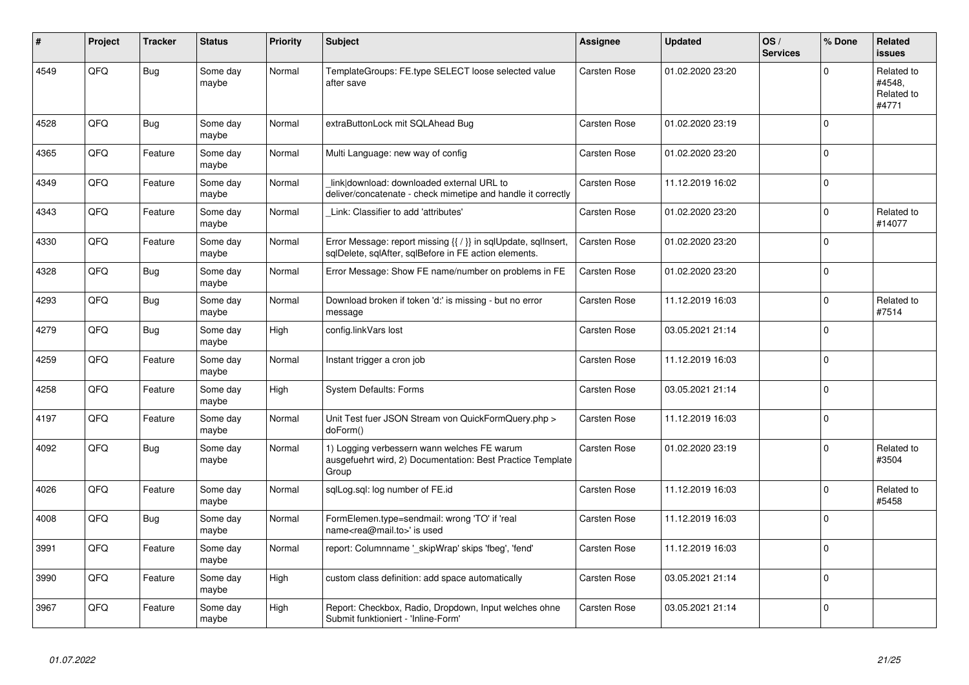| #    | Project | <b>Tracker</b> | <b>Status</b>     | <b>Priority</b> | <b>Subject</b>                                                                                                          | Assignee            | <b>Updated</b>   | OS/<br><b>Services</b> | % Done   | Related<br><b>issues</b>                    |
|------|---------|----------------|-------------------|-----------------|-------------------------------------------------------------------------------------------------------------------------|---------------------|------------------|------------------------|----------|---------------------------------------------|
| 4549 | QFQ     | <b>Bug</b>     | Some day<br>maybe | Normal          | TemplateGroups: FE.type SELECT loose selected value<br>after save                                                       | <b>Carsten Rose</b> | 01.02.2020 23:20 |                        | $\Omega$ | Related to<br>#4548,<br>Related to<br>#4771 |
| 4528 | QFQ     | <b>Bug</b>     | Some day<br>maybe | Normal          | extraButtonLock mit SQLAhead Bug                                                                                        | <b>Carsten Rose</b> | 01.02.2020 23:19 |                        | $\Omega$ |                                             |
| 4365 | QFQ     | Feature        | Some day<br>maybe | Normal          | Multi Language: new way of config                                                                                       | Carsten Rose        | 01.02.2020 23:20 |                        | $\Omega$ |                                             |
| 4349 | QFQ     | Feature        | Some day<br>maybe | Normal          | link download: downloaded external URL to<br>deliver/concatenate - check mimetipe and handle it correctly               | Carsten Rose        | 11.12.2019 16:02 |                        | $\Omega$ |                                             |
| 4343 | QFQ     | Feature        | Some day<br>maybe | Normal          | Link: Classifier to add 'attributes'                                                                                    | Carsten Rose        | 01.02.2020 23:20 |                        | $\Omega$ | Related to<br>#14077                        |
| 4330 | QFQ     | Feature        | Some day<br>maybe | Normal          | Error Message: report missing {{ / }} in sqlUpdate, sqlInsert,<br>sqlDelete, sqlAfter, sqlBefore in FE action elements. | Carsten Rose        | 01.02.2020 23:20 |                        | $\Omega$ |                                             |
| 4328 | QFQ     | <b>Bug</b>     | Some day<br>maybe | Normal          | Error Message: Show FE name/number on problems in FE                                                                    | Carsten Rose        | 01.02.2020 23:20 |                        | $\Omega$ |                                             |
| 4293 | QFQ     | <b>Bug</b>     | Some day<br>maybe | Normal          | Download broken if token 'd:' is missing - but no error<br>message                                                      | Carsten Rose        | 11.12.2019 16:03 |                        | $\Omega$ | Related to<br>#7514                         |
| 4279 | QFQ     | <b>Bug</b>     | Some day<br>maybe | High            | config.linkVars lost                                                                                                    | Carsten Rose        | 03.05.2021 21:14 |                        | $\Omega$ |                                             |
| 4259 | QFQ     | Feature        | Some day<br>maybe | Normal          | Instant trigger a cron job                                                                                              | Carsten Rose        | 11.12.2019 16:03 |                        | $\Omega$ |                                             |
| 4258 | QFQ     | Feature        | Some day<br>maybe | High            | <b>System Defaults: Forms</b>                                                                                           | Carsten Rose        | 03.05.2021 21:14 |                        | $\Omega$ |                                             |
| 4197 | QFQ     | Feature        | Some day<br>maybe | Normal          | Unit Test fuer JSON Stream von QuickFormQuery.php ><br>doForm()                                                         | Carsten Rose        | 11.12.2019 16:03 |                        | $\Omega$ |                                             |
| 4092 | QFQ     | Bug            | Some day<br>maybe | Normal          | 1) Logging verbessern wann welches FE warum<br>ausgefuehrt wird, 2) Documentation: Best Practice Template<br>Group      | Carsten Rose        | 01.02.2020 23:19 |                        | $\Omega$ | Related to<br>#3504                         |
| 4026 | QFQ     | Feature        | Some day<br>maybe | Normal          | sglLog.sgl: log number of FE.id                                                                                         | Carsten Rose        | 11.12.2019 16:03 |                        | $\Omega$ | Related to<br>#5458                         |
| 4008 | QFQ     | Bug            | Some day<br>maybe | Normal          | FormElemen.type=sendmail: wrong 'TO' if 'real<br>name <rea@mail.to>' is used</rea@mail.to>                              | <b>Carsten Rose</b> | 11.12.2019 16:03 |                        | $\Omega$ |                                             |
| 3991 | QFQ     | Feature        | Some day<br>maybe | Normal          | report: Columnname '_skipWrap' skips 'fbeg', 'fend'                                                                     | <b>Carsten Rose</b> | 11.12.2019 16:03 |                        | $\Omega$ |                                             |
| 3990 | QFQ     | Feature        | Some day<br>maybe | High            | custom class definition: add space automatically                                                                        | <b>Carsten Rose</b> | 03.05.2021 21:14 |                        | $\Omega$ |                                             |
| 3967 | QFQ     | Feature        | Some day<br>maybe | High            | Report: Checkbox, Radio, Dropdown, Input welches ohne<br>Submit funktioniert - 'Inline-Form'                            | Carsten Rose        | 03.05.2021 21:14 |                        | $\Omega$ |                                             |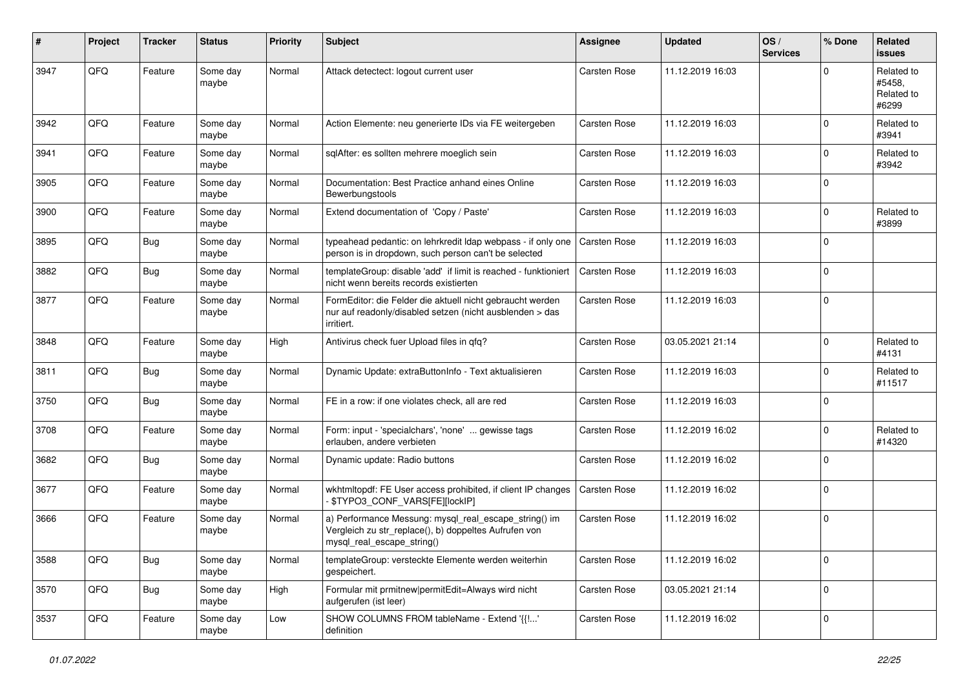| $\vert$ # | Project | <b>Tracker</b> | <b>Status</b>     | <b>Priority</b> | <b>Subject</b>                                                                                                                               | <b>Assignee</b>     | <b>Updated</b>   | OS/<br><b>Services</b> | % Done      | Related<br><b>issues</b>                    |
|-----------|---------|----------------|-------------------|-----------------|----------------------------------------------------------------------------------------------------------------------------------------------|---------------------|------------------|------------------------|-------------|---------------------------------------------|
| 3947      | QFQ     | Feature        | Some day<br>maybe | Normal          | Attack detectect: logout current user                                                                                                        | <b>Carsten Rose</b> | 11.12.2019 16:03 |                        | $\Omega$    | Related to<br>#5458,<br>Related to<br>#6299 |
| 3942      | QFQ     | Feature        | Some day<br>maybe | Normal          | Action Elemente: neu generierte IDs via FE weitergeben                                                                                       | <b>Carsten Rose</b> | 11.12.2019 16:03 |                        | 0           | Related to<br>#3941                         |
| 3941      | QFQ     | Feature        | Some day<br>maybe | Normal          | sqlAfter: es sollten mehrere moeglich sein                                                                                                   | Carsten Rose        | 11.12.2019 16:03 |                        | 0           | Related to<br>#3942                         |
| 3905      | QFQ     | Feature        | Some day<br>maybe | Normal          | Documentation: Best Practice anhand eines Online<br>Bewerbungstools                                                                          | <b>Carsten Rose</b> | 11.12.2019 16:03 |                        | 0           |                                             |
| 3900      | QFQ     | Feature        | Some day<br>maybe | Normal          | Extend documentation of 'Copy / Paste'                                                                                                       | <b>Carsten Rose</b> | 11.12.2019 16:03 |                        | $\Omega$    | Related to<br>#3899                         |
| 3895      | QFQ     | <b>Bug</b>     | Some day<br>maybe | Normal          | typeahead pedantic: on lehrkredit Idap webpass - if only one<br>person is in dropdown, such person can't be selected                         | Carsten Rose        | 11.12.2019 16:03 |                        | $\Omega$    |                                             |
| 3882      | QFQ     | <b>Bug</b>     | Some day<br>maybe | Normal          | templateGroup: disable 'add' if limit is reached - funktioniert<br>nicht wenn bereits records existierten                                    | <b>Carsten Rose</b> | 11.12.2019 16:03 |                        | 0           |                                             |
| 3877      | QFQ     | Feature        | Some day<br>maybe | Normal          | FormEditor: die Felder die aktuell nicht gebraucht werden<br>nur auf readonly/disabled setzen (nicht ausblenden > das<br>irritiert.          | <b>Carsten Rose</b> | 11.12.2019 16:03 |                        | 0           |                                             |
| 3848      | QFQ     | Feature        | Some day<br>maybe | High            | Antivirus check fuer Upload files in qfq?                                                                                                    | <b>Carsten Rose</b> | 03.05.2021 21:14 |                        | $\Omega$    | Related to<br>#4131                         |
| 3811      | QFQ     | <b>Bug</b>     | Some day<br>maybe | Normal          | Dynamic Update: extraButtonInfo - Text aktualisieren                                                                                         | <b>Carsten Rose</b> | 11.12.2019 16:03 |                        | 0           | Related to<br>#11517                        |
| 3750      | QFQ     | <b>Bug</b>     | Some day<br>maybe | Normal          | FE in a row: if one violates check, all are red                                                                                              | Carsten Rose        | 11.12.2019 16:03 |                        | 0           |                                             |
| 3708      | QFQ     | Feature        | Some day<br>maybe | Normal          | Form: input - 'specialchars', 'none'  gewisse tags<br>erlauben, andere verbieten                                                             | <b>Carsten Rose</b> | 11.12.2019 16:02 |                        | 0           | Related to<br>#14320                        |
| 3682      | QFQ     | <b>Bug</b>     | Some day<br>maybe | Normal          | Dynamic update: Radio buttons                                                                                                                | <b>Carsten Rose</b> | 11.12.2019 16:02 |                        | 0           |                                             |
| 3677      | QFQ     | Feature        | Some day<br>maybe | Normal          | wkhtmltopdf: FE User access prohibited, if client IP changes<br>\$TYPO3_CONF_VARS[FE][lockIP]                                                | <b>Carsten Rose</b> | 11.12.2019 16:02 |                        | 0           |                                             |
| 3666      | QFQ     | Feature        | Some day<br>maybe | Normal          | a) Performance Messung: mysql_real_escape_string() im<br>Vergleich zu str_replace(), b) doppeltes Aufrufen von<br>mysql_real_escape_string() | <b>Carsten Rose</b> | 11.12.2019 16:02 |                        | 0           |                                             |
| 3588      | QFG     | Bug            | Some day<br>maybe | Normal          | templateGroup: versteckte Elemente werden weiterhin<br>gespeichert.                                                                          | Carsten Rose        | 11.12.2019 16:02 |                        | $\mathbf 0$ |                                             |
| 3570      | QFO     | <b>Bug</b>     | Some day<br>maybe | High            | Formular mit prmitnew permitEdit=Always wird nicht<br>aufgerufen (ist leer)                                                                  | Carsten Rose        | 03.05.2021 21:14 |                        | 0           |                                             |
| 3537      | QFQ     | Feature        | Some day<br>maybe | Low             | SHOW COLUMNS FROM tableName - Extend '{{!'<br>definition                                                                                     | Carsten Rose        | 11.12.2019 16:02 |                        | 0           |                                             |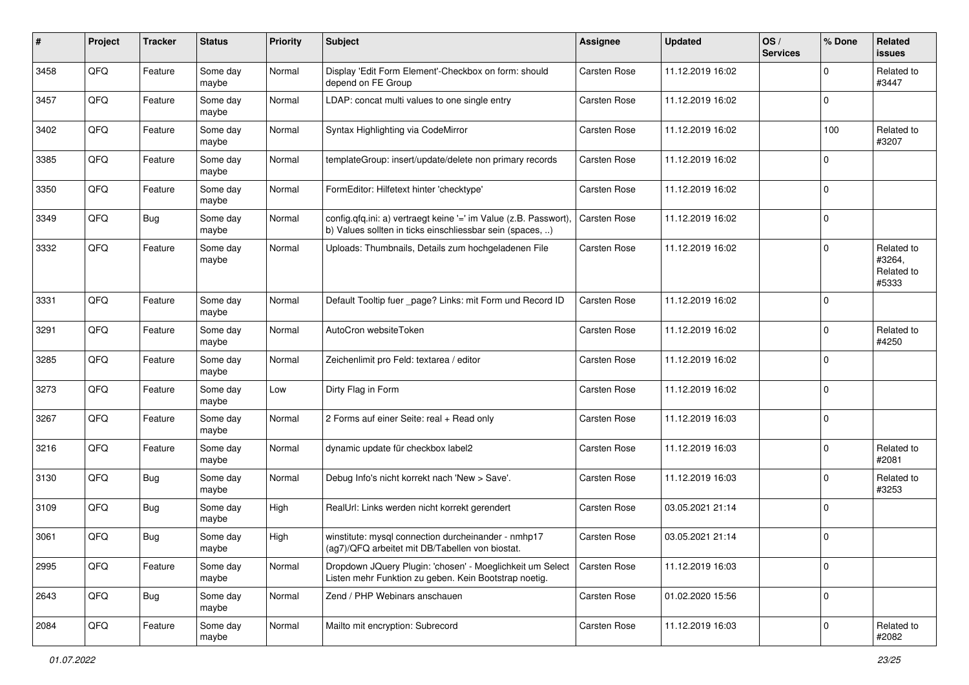| $\sharp$ | Project | <b>Tracker</b> | <b>Status</b>     | <b>Priority</b> | <b>Subject</b>                                                                                                                | Assignee            | <b>Updated</b>   | OS/<br><b>Services</b> | % Done      | Related<br><b>issues</b>                    |
|----------|---------|----------------|-------------------|-----------------|-------------------------------------------------------------------------------------------------------------------------------|---------------------|------------------|------------------------|-------------|---------------------------------------------|
| 3458     | QFQ     | Feature        | Some day<br>maybe | Normal          | Display 'Edit Form Element'-Checkbox on form: should<br>depend on FE Group                                                    | Carsten Rose        | 11.12.2019 16:02 |                        | $\Omega$    | Related to<br>#3447                         |
| 3457     | QFQ     | Feature        | Some day<br>maybe | Normal          | LDAP: concat multi values to one single entry                                                                                 | <b>Carsten Rose</b> | 11.12.2019 16:02 |                        | $\Omega$    |                                             |
| 3402     | QFQ     | Feature        | Some day<br>maybe | Normal          | Syntax Highlighting via CodeMirror                                                                                            | Carsten Rose        | 11.12.2019 16:02 |                        | 100         | Related to<br>#3207                         |
| 3385     | QFQ     | Feature        | Some day<br>maybe | Normal          | templateGroup: insert/update/delete non primary records                                                                       | Carsten Rose        | 11.12.2019 16:02 |                        | $\Omega$    |                                             |
| 3350     | QFQ     | Feature        | Some day<br>maybe | Normal          | FormEditor: Hilfetext hinter 'checktype'                                                                                      | Carsten Rose        | 11.12.2019 16:02 |                        | $\Omega$    |                                             |
| 3349     | QFQ     | Bug            | Some day<br>maybe | Normal          | config.qfq.ini: a) vertraegt keine '=' im Value (z.B. Passwort),<br>b) Values sollten in ticks einschliessbar sein (spaces, ) | Carsten Rose        | 11.12.2019 16:02 |                        | $\Omega$    |                                             |
| 3332     | QFQ     | Feature        | Some day<br>maybe | Normal          | Uploads: Thumbnails, Details zum hochgeladenen File                                                                           | Carsten Rose        | 11.12.2019 16:02 |                        | $\Omega$    | Related to<br>#3264,<br>Related to<br>#5333 |
| 3331     | QFQ     | Feature        | Some day<br>maybe | Normal          | Default Tooltip fuer _page? Links: mit Form und Record ID                                                                     | <b>Carsten Rose</b> | 11.12.2019 16:02 |                        | $\Omega$    |                                             |
| 3291     | QFQ     | Feature        | Some day<br>maybe | Normal          | AutoCron websiteToken                                                                                                         | <b>Carsten Rose</b> | 11.12.2019 16:02 |                        | $\Omega$    | Related to<br>#4250                         |
| 3285     | QFQ     | Feature        | Some day<br>maybe | Normal          | Zeichenlimit pro Feld: textarea / editor                                                                                      | Carsten Rose        | 11.12.2019 16:02 |                        | $\Omega$    |                                             |
| 3273     | QFQ     | Feature        | Some day<br>maybe | Low             | Dirty Flag in Form                                                                                                            | <b>Carsten Rose</b> | 11.12.2019 16:02 |                        | $\Omega$    |                                             |
| 3267     | QFQ     | Feature        | Some day<br>maybe | Normal          | 2 Forms auf einer Seite: real + Read only                                                                                     | Carsten Rose        | 11.12.2019 16:03 |                        | $\Omega$    |                                             |
| 3216     | QFQ     | Feature        | Some day<br>maybe | Normal          | dynamic update für checkbox label2                                                                                            | <b>Carsten Rose</b> | 11.12.2019 16:03 |                        | $\Omega$    | Related to<br>#2081                         |
| 3130     | QFQ     | <b>Bug</b>     | Some day<br>maybe | Normal          | Debug Info's nicht korrekt nach 'New > Save'.                                                                                 | <b>Carsten Rose</b> | 11.12.2019 16:03 |                        | $\Omega$    | Related to<br>#3253                         |
| 3109     | QFQ     | <b>Bug</b>     | Some day<br>maybe | High            | RealUrl: Links werden nicht korrekt gerendert                                                                                 | Carsten Rose        | 03.05.2021 21:14 |                        | $\Omega$    |                                             |
| 3061     | QFQ     | <b>Bug</b>     | Some day<br>maybe | High            | winstitute: mysql connection durcheinander - nmhp17<br>(ag7)/QFQ arbeitet mit DB/Tabellen von biostat.                        | Carsten Rose        | 03.05.2021 21:14 |                        | $\Omega$    |                                             |
| 2995     | QFQ     | Feature        | Some day<br>maybe | Normal          | Dropdown JQuery Plugin: 'chosen' - Moeglichkeit um Select<br>Listen mehr Funktion zu geben. Kein Bootstrap noetig.            | Carsten Rose        | 11.12.2019 16:03 |                        | $\Omega$    |                                             |
| 2643     | QFQ     | <b>Bug</b>     | Some day<br>maybe | Normal          | Zend / PHP Webinars anschauen                                                                                                 | Carsten Rose        | 01.02.2020 15:56 |                        | $\Omega$    |                                             |
| 2084     | QFG     | Feature        | Some day<br>maybe | Normal          | Mailto mit encryption: Subrecord                                                                                              | Carsten Rose        | 11.12.2019 16:03 |                        | $\mathbf 0$ | Related to<br>#2082                         |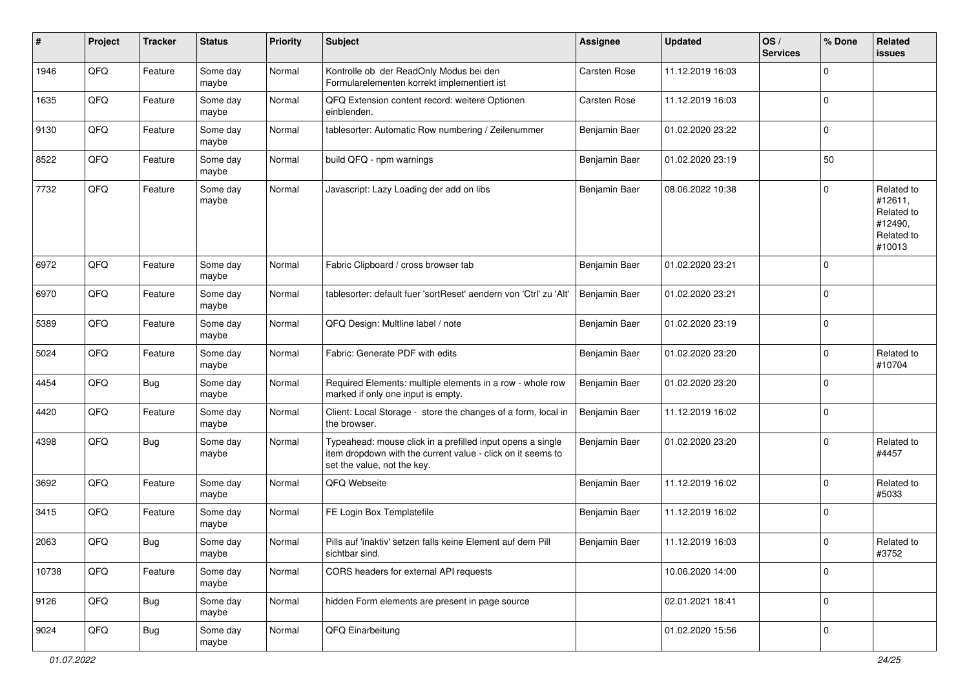| #     | Project | <b>Tracker</b> | <b>Status</b>     | <b>Priority</b> | Subject                                                                                                                                                  | <b>Assignee</b> | <b>Updated</b>   | OS/<br><b>Services</b> | % Done      | Related<br><b>issues</b>                                               |
|-------|---------|----------------|-------------------|-----------------|----------------------------------------------------------------------------------------------------------------------------------------------------------|-----------------|------------------|------------------------|-------------|------------------------------------------------------------------------|
| 1946  | QFQ     | Feature        | Some day<br>maybe | Normal          | Kontrolle ob der ReadOnly Modus bei den<br>Formularelementen korrekt implementiert ist                                                                   | Carsten Rose    | 11.12.2019 16:03 |                        | $\mathbf 0$ |                                                                        |
| 1635  | QFQ     | Feature        | Some day<br>maybe | Normal          | QFQ Extension content record: weitere Optionen<br>einblenden.                                                                                            | Carsten Rose    | 11.12.2019 16:03 |                        | $\mathbf 0$ |                                                                        |
| 9130  | QFQ     | Feature        | Some day<br>maybe | Normal          | tablesorter: Automatic Row numbering / Zeilenummer                                                                                                       | Benjamin Baer   | 01.02.2020 23:22 |                        | $\mathbf 0$ |                                                                        |
| 8522  | QFQ     | Feature        | Some day<br>maybe | Normal          | build QFQ - npm warnings                                                                                                                                 | Benjamin Baer   | 01.02.2020 23:19 |                        | 50          |                                                                        |
| 7732  | QFQ     | Feature        | Some day<br>maybe | Normal          | Javascript: Lazy Loading der add on libs                                                                                                                 | Benjamin Baer   | 08.06.2022 10:38 |                        | $\mathbf 0$ | Related to<br>#12611,<br>Related to<br>#12490,<br>Related to<br>#10013 |
| 6972  | QFQ     | Feature        | Some day<br>maybe | Normal          | Fabric Clipboard / cross browser tab                                                                                                                     | Benjamin Baer   | 01.02.2020 23:21 |                        | $\mathbf 0$ |                                                                        |
| 6970  | QFQ     | Feature        | Some day<br>maybe | Normal          | tablesorter: default fuer 'sortReset' aendern von 'Ctrl' zu 'Alt'                                                                                        | Benjamin Baer   | 01.02.2020 23:21 |                        | $\mathbf 0$ |                                                                        |
| 5389  | QFQ     | Feature        | Some day<br>maybe | Normal          | QFQ Design: Multline label / note                                                                                                                        | Benjamin Baer   | 01.02.2020 23:19 |                        | $\mathbf 0$ |                                                                        |
| 5024  | QFQ     | Feature        | Some day<br>maybe | Normal          | Fabric: Generate PDF with edits                                                                                                                          | Benjamin Baer   | 01.02.2020 23:20 |                        | $\mathbf 0$ | Related to<br>#10704                                                   |
| 4454  | QFQ     | <b>Bug</b>     | Some day<br>maybe | Normal          | Required Elements: multiple elements in a row - whole row<br>marked if only one input is empty.                                                          | Benjamin Baer   | 01.02.2020 23:20 |                        | $\Omega$    |                                                                        |
| 4420  | QFQ     | Feature        | Some day<br>maybe | Normal          | Client: Local Storage - store the changes of a form, local in<br>the browser.                                                                            | Benjamin Baer   | 11.12.2019 16:02 |                        | $\mathbf 0$ |                                                                        |
| 4398  | QFQ     | <b>Bug</b>     | Some day<br>maybe | Normal          | Typeahead: mouse click in a prefilled input opens a single<br>item dropdown with the current value - click on it seems to<br>set the value, not the key. | Benjamin Baer   | 01.02.2020 23:20 |                        | $\mathbf 0$ | Related to<br>#4457                                                    |
| 3692  | QFQ     | Feature        | Some day<br>maybe | Normal          | QFQ Webseite                                                                                                                                             | Benjamin Baer   | 11.12.2019 16:02 |                        | $\mathbf 0$ | Related to<br>#5033                                                    |
| 3415  | QFQ     | Feature        | Some day<br>maybe | Normal          | FE Login Box Templatefile                                                                                                                                | Benjamin Baer   | 11.12.2019 16:02 |                        | $\mathbf 0$ |                                                                        |
| 2063  | QFQ     | <b>Bug</b>     | Some day<br>maybe | Normal          | Pills auf 'inaktiv' setzen falls keine Element auf dem Pill<br>sichtbar sind.                                                                            | Benjamin Baer   | 11.12.2019 16:03 |                        | $\mathbf 0$ | Related to<br>#3752                                                    |
| 10738 | QFQ     | Feature        | Some day<br>maybe | Normal          | CORS headers for external API requests                                                                                                                   |                 | 10.06.2020 14:00 |                        | $\pmb{0}$   |                                                                        |
| 9126  | QFQ     | <b>Bug</b>     | Some day<br>maybe | Normal          | hidden Form elements are present in page source                                                                                                          |                 | 02.01.2021 18:41 |                        | $\mathbf 0$ |                                                                        |
| 9024  | QFG     | <b>Bug</b>     | Some day<br>maybe | Normal          | QFQ Einarbeitung                                                                                                                                         |                 | 01.02.2020 15:56 |                        | $\mathbf 0$ |                                                                        |